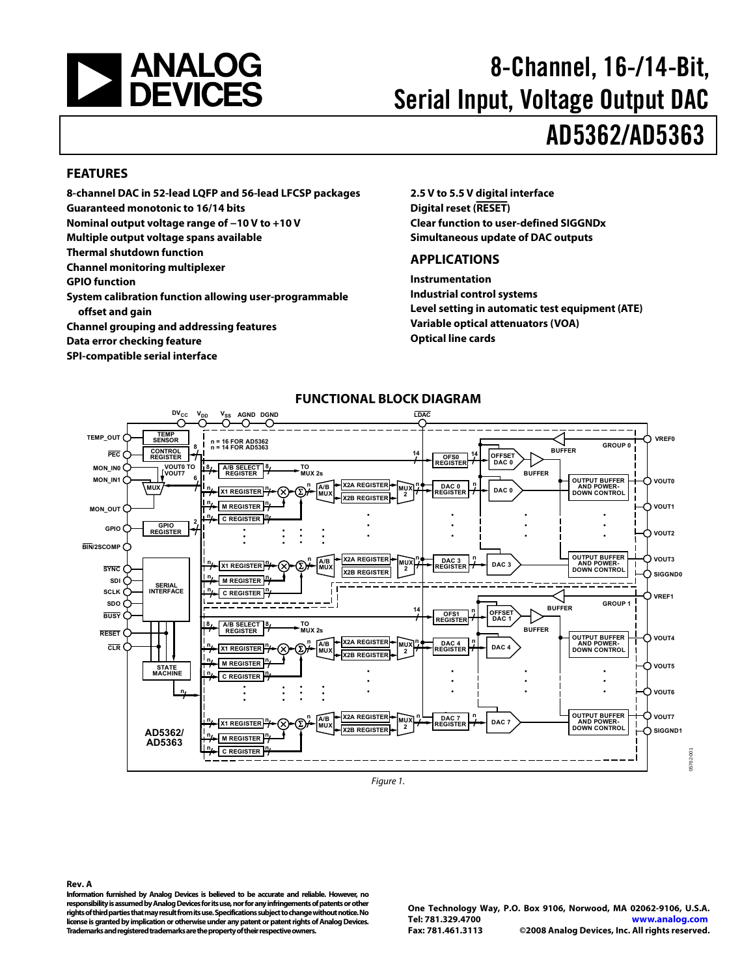<span id="page-0-0"></span>

# 8-Channel, 16-/14-Bit, Serial Input, Voltage Output DAC AD5362/AD5363

#### **FEATURES**

**8-channel DAC in 52-lead LQFP and 56-lead LFCSP packages Guaranteed monotonic to 16/14 bits Nominal output voltage range of −10 V to +10 V Multiple output voltage spans available Thermal shutdown function Channel monitoring multiplexer GPIO function** 

**System calibration function allowing user-programmable offset and gain Channel grouping and addressing features** 

**Data error checking feature** 

**SPI-compatible serial interface** 

**2.5 V to 5.5 V digital interface Digital reset (RESET) Clear function to user-defined SIGGNDx Simultaneous update of DAC outputs** 

#### **APPLICATIONS**

**Instrumentation Industrial control systems Level setting in automatic test equipment (ATE) Variable optical attenuators (VOA) Optical line cards** 



Figure 1.

**Rev. A** 

**Information furnished by Analog Devices is believed to be accurate and reliable. However, no responsibility is assumed by Analog Devices for its use, nor for any infringements of patents or other rights of third parties that may result from its use. Specifications subject to change without notice. No license is granted by implication or otherwise under any patent or patent rights of Analog Devices. Trademarks and registered trademarks are the property of their respective owners.** 

**One Technology Way, P.O. Box 9106, Norwood, MA 02062-9106, U.S.A. Tel: 781.329.4700 www.analog.com Fax: 781.461.3113 ©2008 Analog Devices, Inc. All rights reserved.**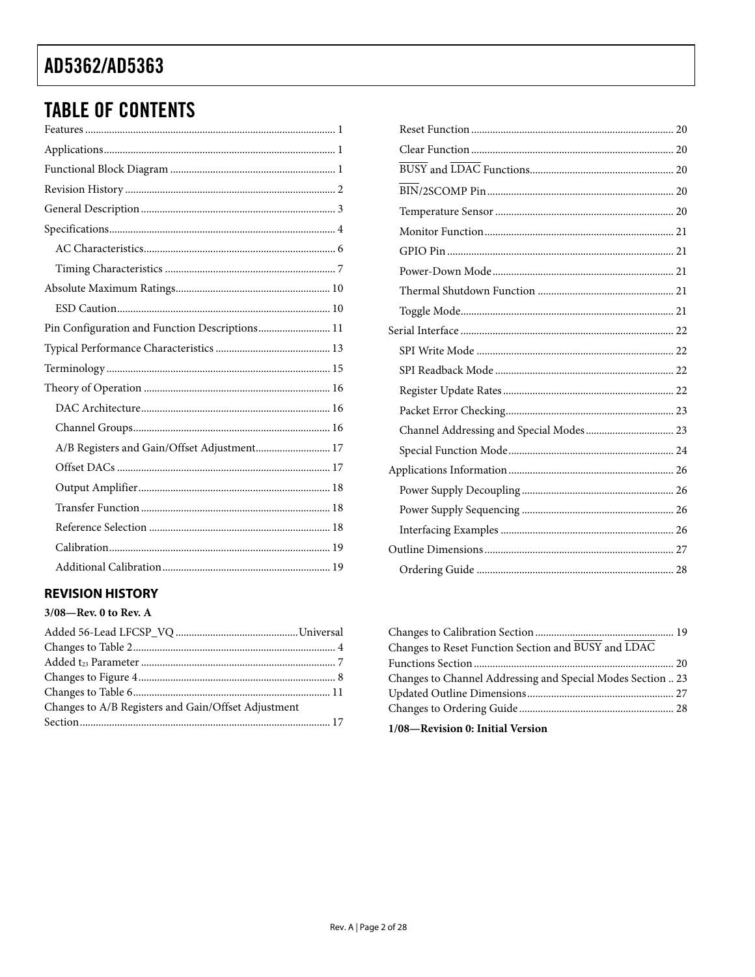# <span id="page-1-0"></span>**TABLE OF CONTENTS**

| Pin Configuration and Function Descriptions 11 |
|------------------------------------------------|
|                                                |
|                                                |
|                                                |
|                                                |
|                                                |
| A/B Registers and Gain/Offset Adjustment 17    |
|                                                |
|                                                |
|                                                |
|                                                |
|                                                |
|                                                |
|                                                |

## **REVISION HISTORY**

## $3/08$ –Rev. 0 to Rev. A

| Changes to A/B Registers and Gain/Offset Adjustment |  |
|-----------------------------------------------------|--|
|                                                     |  |
|                                                     |  |

| Channel Addressing and Special Modes 23 |  |
|-----------------------------------------|--|
|                                         |  |
|                                         |  |
|                                         |  |
|                                         |  |
|                                         |  |
|                                         |  |
|                                         |  |
|                                         |  |

| Changes to Reset Function Section and BUSY and LDAC         |  |
|-------------------------------------------------------------|--|
|                                                             |  |
| Changes to Channel Addressing and Special Modes Section  23 |  |
|                                                             |  |
|                                                             |  |
| 1/08-Revision 0: Initial Version                            |  |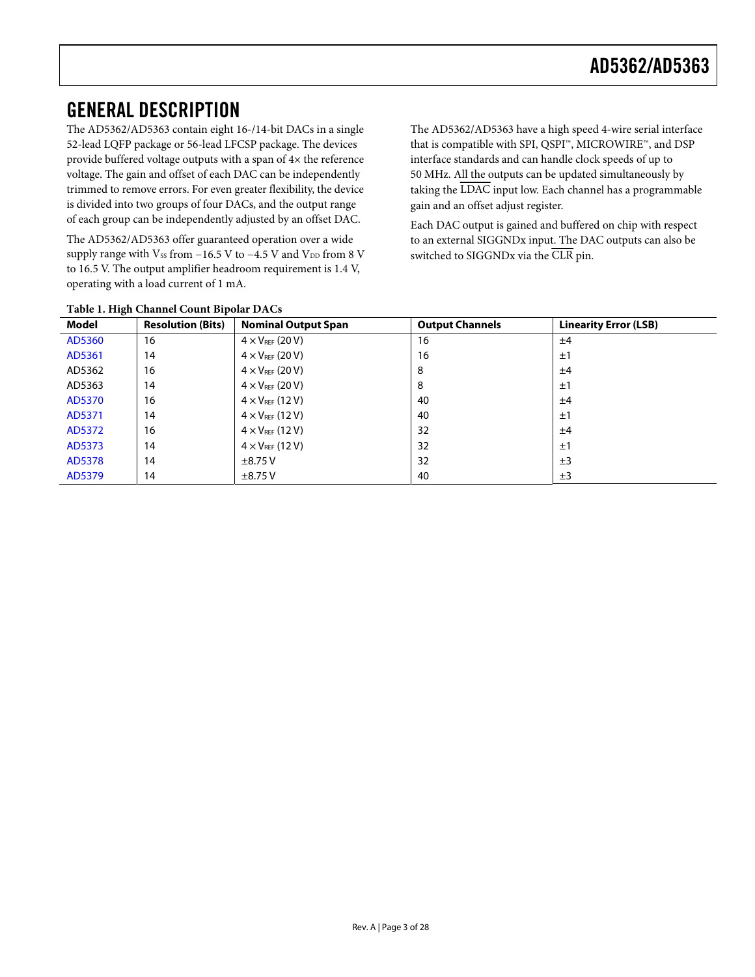# <span id="page-2-0"></span>GENERAL DESCRIPTION

The AD5362/AD5363 contain eight 16-/14-bit DACs in a single 52-lead LQFP package or 56-lead LFCSP package. The devices provide buffered voltage outputs with a span of 4× the reference voltage. The gain and offset of each DAC can be independently trimmed to remove errors. For even greater flexibility, the device is divided into two groups of four DACs, and the output range of each group can be independently adjusted by an offset DAC.

The AD5362/AD5363 offer guaranteed operation over a wide supply range with Vss from  $-16.5$  V to  $-4.5$  V and V<sub>DD</sub> from 8 V to 16.5 V. The output amplifier headroom requirement is 1.4 V, operating with a load current of 1 mA.

The AD5362/AD5363 have a high speed 4-wire serial interface that is compatible with SPI, QSPI™, MICROWIRE™, and DSP interface standards and can handle clock speeds of up to 50 MHz. All the outputs can be updated simultaneously by taking the LDAC input low. Each channel has a programmable gain and an offset adjust register.

Each DAC output is gained and buffered on chip with respect to an external SIGGNDx input. The DAC outputs can also be switched to SIGGNDx via the CLR pin.

| Table 1. Then Channel Count Dipolar DACS |                          |                            |                        |                              |  |  |
|------------------------------------------|--------------------------|----------------------------|------------------------|------------------------------|--|--|
| Model                                    | <b>Resolution (Bits)</b> | <b>Nominal Output Span</b> | <b>Output Channels</b> | <b>Linearity Error (LSB)</b> |  |  |
| AD5360                                   | 16                       | $4 \times V_{REF}$ (20 V)  | 16                     | ±4                           |  |  |
| AD5361                                   | 14                       | $4 \times V_{REF}$ (20 V)  | 16                     | ±1                           |  |  |
| AD5362                                   | 16                       | $4 \times V_{REF}$ (20 V)  | 8                      | ±4                           |  |  |
| AD5363                                   | 14                       | $4 \times V_{REF}$ (20 V)  | 8                      | ±1                           |  |  |
| AD5370                                   | 16                       | $4 \times V_{REF}$ (12 V)  | 40                     | ±4                           |  |  |
| AD5371                                   | 14                       | $4 \times V_{REF}$ (12 V)  | 40                     | ±1                           |  |  |
| AD5372                                   | 16                       | $4 \times V_{REF}$ (12 V)  | 32                     | ±4                           |  |  |
| AD5373                                   | 14                       | $4 \times V_{REF}$ (12 V)  | 32                     | ±1                           |  |  |
| AD5378                                   | 14                       | $\pm$ 8.75 V               | 32                     | ±3                           |  |  |
| AD5379                                   | 14                       | $\pm$ 8.75 V               | 40                     | ±3                           |  |  |

#### **Table 1. High Channel Count Bipolar DACs**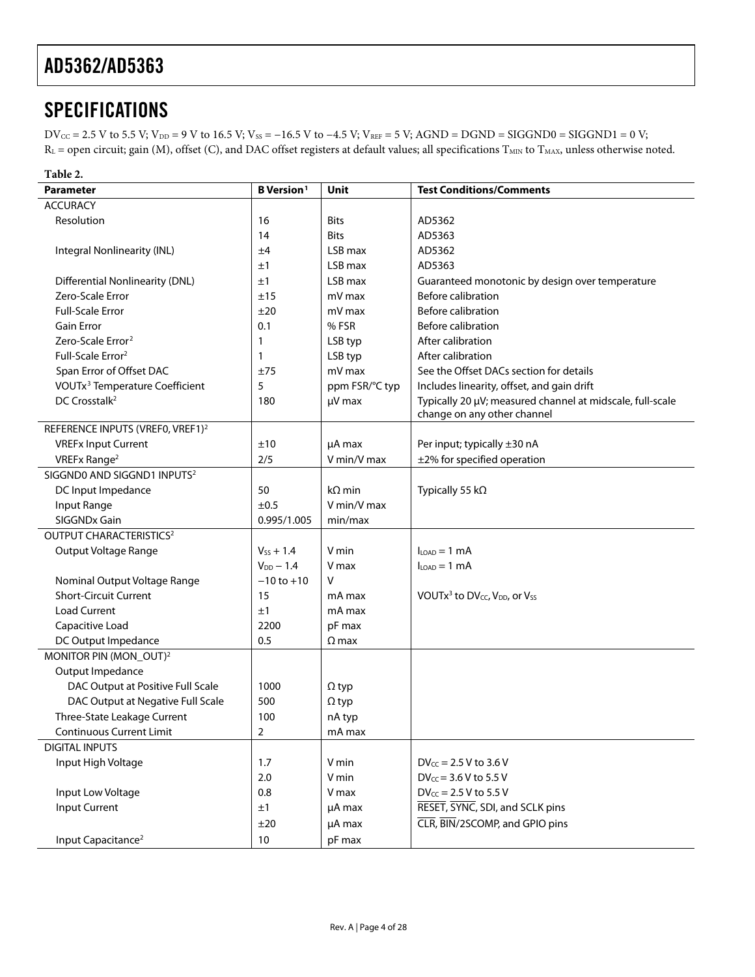# <span id="page-3-1"></span><span id="page-3-0"></span>**SPECIFICATIONS**

 $DV_{CC} = 2.5 V$  to 5.5 V;  $V_{DD} = 9 V$  to 16.5 V;  $V_{SS} = -16.5 V$  to  $-4.5 V$ ;  $V_{REF} = 5 V$ ;  $AGND = DGND = SIGGND0 = SIGGND1 = 0 V$ ;  $R_L$  = open circuit; gain (M), offset (C), and DAC offset registers at default values; all specifications  $T_{MIN}$  to  $T_{MAX}$ , unless otherwise noted.

| Table 2.                                     |                               |                |                                                                       |
|----------------------------------------------|-------------------------------|----------------|-----------------------------------------------------------------------|
| Parameter                                    | <b>B</b> Version <sup>1</sup> | Unit           | <b>Test Conditions/Comments</b>                                       |
| <b>ACCURACY</b>                              |                               |                |                                                                       |
| Resolution                                   | 16                            | <b>Bits</b>    | AD5362                                                                |
|                                              | 14                            | <b>Bits</b>    | AD5363                                                                |
| Integral Nonlinearity (INL)                  | ±4                            | LSB max        | AD5362                                                                |
|                                              | ±1                            | LSB max        | AD5363                                                                |
| <b>Differential Nonlinearity (DNL)</b>       | ±1                            | LSB max        | Guaranteed monotonic by design over temperature                       |
| Zero-Scale Error                             | ±15                           | mV max         | <b>Before calibration</b>                                             |
| <b>Full-Scale Error</b>                      | ±20                           | mV max         | <b>Before calibration</b>                                             |
| <b>Gain Error</b>                            | 0.1                           | % FSR          | <b>Before calibration</b>                                             |
| Zero-Scale Error <sup>2</sup>                | 1                             | LSB typ        | After calibration                                                     |
| Full-Scale Error <sup>2</sup>                | 1                             | LSB typ        | After calibration                                                     |
| Span Error of Offset DAC                     | ±75                           | mV max         | See the Offset DACs section for details                               |
| VOUTx <sup>3</sup> Temperature Coefficient   | 5                             | ppm FSR/°C typ | Includes linearity, offset, and gain drift                            |
| DC Crosstalk <sup>2</sup>                    | 180                           | µV max         | Typically 20 µV; measured channel at midscale, full-scale             |
|                                              |                               |                | change on any other channel                                           |
| REFERENCE INPUTS (VREF0, VREF1) <sup>2</sup> |                               |                |                                                                       |
| <b>VREFx Input Current</b>                   | ±10                           | uA max         | Per input; typically ±30 nA                                           |
| VREFx Range <sup>2</sup>                     | 2/5                           | V min/V max    | ±2% for specified operation                                           |
| SIGGND0 AND SIGGND1 INPUTS <sup>2</sup>      |                               |                |                                                                       |
| DC Input Impedance                           | 50                            | $k\Omega$ min  | Typically 55 k $\Omega$                                               |
| Input Range                                  | ±0.5                          | V min/V max    |                                                                       |
| SIGGNDx Gain                                 | 0.995/1.005                   | min/max        |                                                                       |
| <b>OUTPUT CHARACTERISTICS<sup>2</sup></b>    |                               |                |                                                                       |
| Output Voltage Range                         | $V_{ss} + 1.4$                | V min          | $I_{LOAD} = 1$ mA                                                     |
|                                              | $V_{DD}$ - 1.4                | V max          | $I_{LOAD} = 1$ mA                                                     |
| Nominal Output Voltage Range                 | $-10$ to $+10$                | V              |                                                                       |
| <b>Short-Circuit Current</b>                 | 15                            | mA max         | VOUT $x^3$ to DV <sub>cc</sub> , V <sub>DD</sub> , or V <sub>SS</sub> |
| <b>Load Current</b>                          | ±1                            | mA max         |                                                                       |
| Capacitive Load                              | 2200                          | pF max         |                                                                       |
| DC Output Impedance                          | 0.5                           | $\Omega$ max   |                                                                       |
| MONITOR PIN (MON_OUT) <sup>2</sup>           |                               |                |                                                                       |
| Output Impedance                             |                               |                |                                                                       |
| DAC Output at Positive Full Scale            | 1000                          | $\Omega$ typ   |                                                                       |
| DAC Output at Negative Full Scale            | 500                           | $\Omega$ typ   |                                                                       |
| Three-State Leakage Current                  | 100                           | nA typ         |                                                                       |
| <b>Continuous Current Limit</b>              | $\overline{2}$                | mA max         |                                                                       |
| <b>DIGITAL INPUTS</b>                        |                               |                |                                                                       |
| Input High Voltage                           | 1.7                           | V min          | $DV_{CC} = 2.5 V$ to 3.6 V                                            |
|                                              | 2.0                           | V min          | $DV_{CC} = 3.6 V$ to 5.5 V                                            |
| Input Low Voltage                            | 0.8                           | V max          | $DV_{CC} = 2.5 V$ to 5.5 V                                            |
| Input Current                                | ±1                            | µA max         | RESET, SYNC, SDI, and SCLK pins                                       |
|                                              | ±20                           | µA max         | CLR, BIN/2SCOMP, and GPIO pins                                        |
| Input Capacitance <sup>2</sup>               | 10                            | pF max         |                                                                       |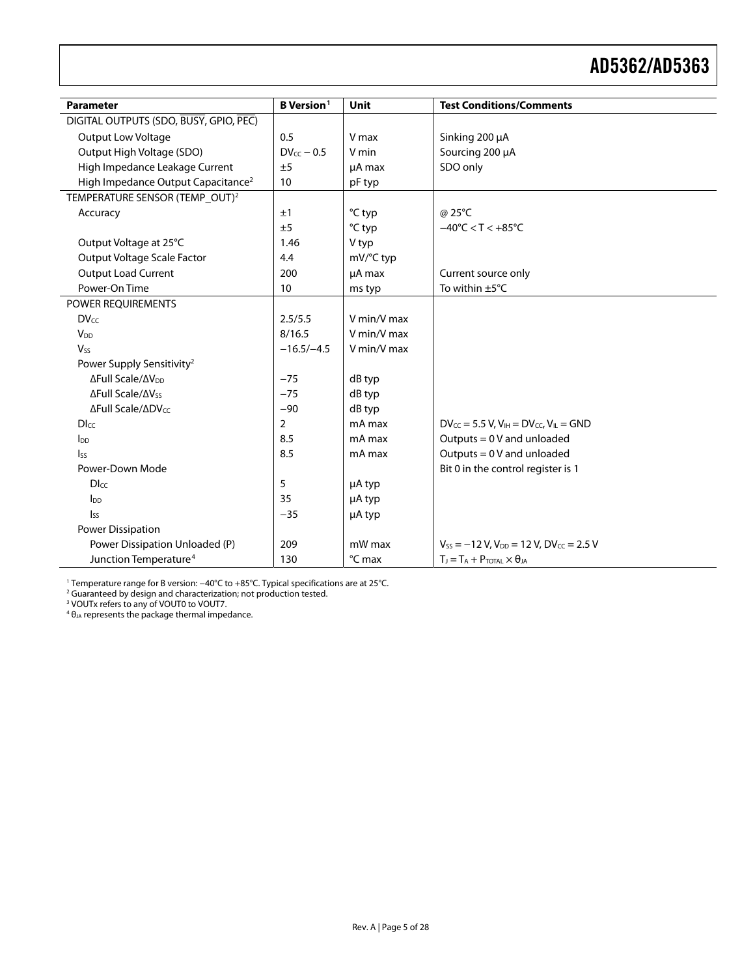<span id="page-4-2"></span>

| <b>Parameter</b>                               | <b>B</b> Version <sup>1</sup> | Unit        | <b>Test Conditions/Comments</b>                                    |
|------------------------------------------------|-------------------------------|-------------|--------------------------------------------------------------------|
| DIGITAL OUTPUTS (SDO, BUSY, GPIO, PEC)         |                               |             |                                                                    |
| Output Low Voltage                             | 0.5                           | V max       | Sinking 200 µA                                                     |
| Output High Voltage (SDO)                      | $DV_{CC} - 0.5$               | V min       | Sourcing 200 µA                                                    |
| High Impedance Leakage Current                 | ±5                            | $\mu$ A max | SDO only                                                           |
| High Impedance Output Capacitance <sup>2</sup> | 10                            | pF typ      |                                                                    |
| TEMPERATURE SENSOR (TEMP_OUT) <sup>2</sup>     |                               |             |                                                                    |
|                                                | ±1                            | °C typ      | @ 25°C                                                             |
| Accuracy                                       | ±5                            |             | $-40^{\circ}$ C < T < $+85^{\circ}$ C                              |
|                                                | 1.46                          | °C typ      |                                                                    |
| Output Voltage at 25°C                         |                               | V typ       |                                                                    |
| Output Voltage Scale Factor                    | 4.4                           | mV/°C typ   |                                                                    |
| <b>Output Load Current</b>                     | 200                           | µA max      | Current source only                                                |
| Power-On Time                                  | 10                            | ms typ      | To within ±5°C                                                     |
| POWER REQUIREMENTS                             |                               |             |                                                                    |
| <b>DVcc</b>                                    | 2.5/5.5                       | V min/V max |                                                                    |
| V <sub>DD</sub>                                | 8/16.5                        | V min/V max |                                                                    |
| $V_{ss}$                                       | $-16.5/-4.5$                  | V min/V max |                                                                    |
| Power Supply Sensitivity <sup>2</sup>          |                               |             |                                                                    |
| ΔFull Scale/ΔV <sub>DD</sub>                   | $-75$                         | dB typ      |                                                                    |
| ∆Full Scale/∆Vss                               | $-75$                         | dB typ      |                                                                    |
| ΔFull Scale/ΔDVcc                              | $-90$                         | dB typ      |                                                                    |
| $D_{\text{LCC}}$                               | 2                             | mA max      | $DV_{CC} = 5.5 V$ , $V_{IH} = DV_{CC}$ , $V_{IL} = GND$            |
| $I_{DD}$                                       | 8.5                           | mA max      | Outputs = $0V$ and unloaded                                        |
| $I_{SS}$                                       | 8.5                           | mA max      | Outputs = $0$ V and unloaded                                       |
| Power-Down Mode                                |                               |             | Bit 0 in the control register is 1                                 |
| Dlcc                                           | 5                             | µA typ      |                                                                    |
| $I_{DD}$                                       | 35                            | µA typ      |                                                                    |
| $I_{SS}$                                       | $-35$                         | µA typ      |                                                                    |
| Power Dissipation                              |                               |             |                                                                    |
| Power Dissipation Unloaded (P)                 | 209                           | mW max      | $V_{SS}$ = -12 V, V <sub>DD</sub> = 12 V, DV <sub>CC</sub> = 2.5 V |
| Junction Temperature <sup>4</sup>              | 130                           | °C max      | $T_J = T_A + P_{TOTAL} \times \theta_{JA}$                         |

<span id="page-4-1"></span><span id="page-4-0"></span><sup>1</sup> Temperature range for B version: –40°C to +85°C. Typical specifications are at 25°C.<br><sup>2</sup> Guaranteed by design and characterization; not production tested.<br><sup>3</sup> VOUTx refers to any of VOUT0 to VOUT7.<br><sup>4</sup> θ<sub>JA</sub> represent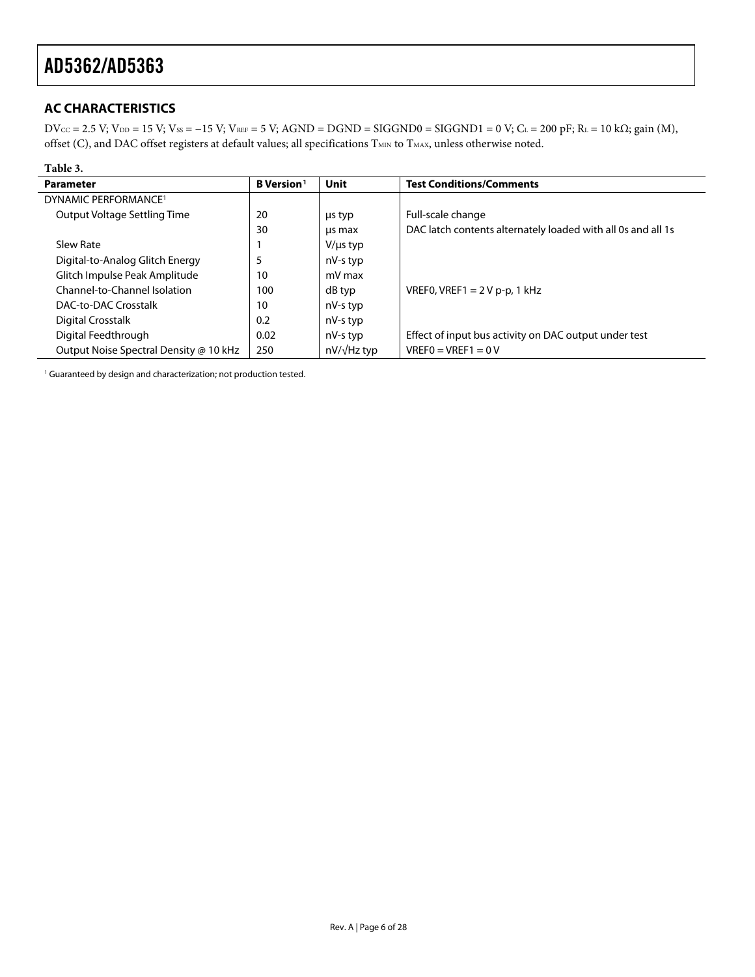## <span id="page-5-0"></span>**AC CHARACTERISTICS**

 $DV_{CC} = 2.5 V$ ;  $V_{DD} = 15 V$ ;  $V_{SS} = -15 V$ ;  $V_{REF} = 5 V$ ;  $AGND = DGND = SIGGND0 = SIGGND1 = 0 V$ ;  $C_L = 200 p$ F;  $R_L = 10 kΩ$ ; gain (M), offset (C), and DAC offset registers at default values; all specifications  $T_{MIN}$  to  $T_{MAX}$ , unless otherwise noted.

| Table 3.                               |                               |                    |                                                              |
|----------------------------------------|-------------------------------|--------------------|--------------------------------------------------------------|
| <b>Parameter</b>                       | <b>B</b> Version <sup>1</sup> | <b>Unit</b>        | <b>Test Conditions/Comments</b>                              |
| DYNAMIC PERFORMANCE <sup>1</sup>       |                               |                    |                                                              |
| Output Voltage Settling Time           | 20                            | us typ             | Full-scale change                                            |
|                                        | 30                            | us max             | DAC latch contents alternately loaded with all 0s and all 1s |
| Slew Rate                              |                               | $V/\mu s$ typ      |                                                              |
| Digital-to-Analog Glitch Energy        | 5                             | nV-s typ           |                                                              |
| Glitch Impulse Peak Amplitude          | 10                            | mV max             |                                                              |
| Channel-to-Channel Isolation           | 100                           | dB typ             | VREF0, VREF1 = $2Vp-p$ , 1 kHz                               |
| DAC-to-DAC Crosstalk                   | 10                            | nV-s typ           |                                                              |
| Digital Crosstalk                      | 0.2                           | nV-s typ           |                                                              |
| Digital Feedthrough                    | 0.02                          | nV-s typ           | Effect of input bus activity on DAC output under test        |
| Output Noise Spectral Density @ 10 kHz | 250                           | $nV/\sqrt{Hz}$ typ | $VREF0=VREF1=0 V$                                            |

<sup>1</sup> Guaranteed by design and characterization; not production tested.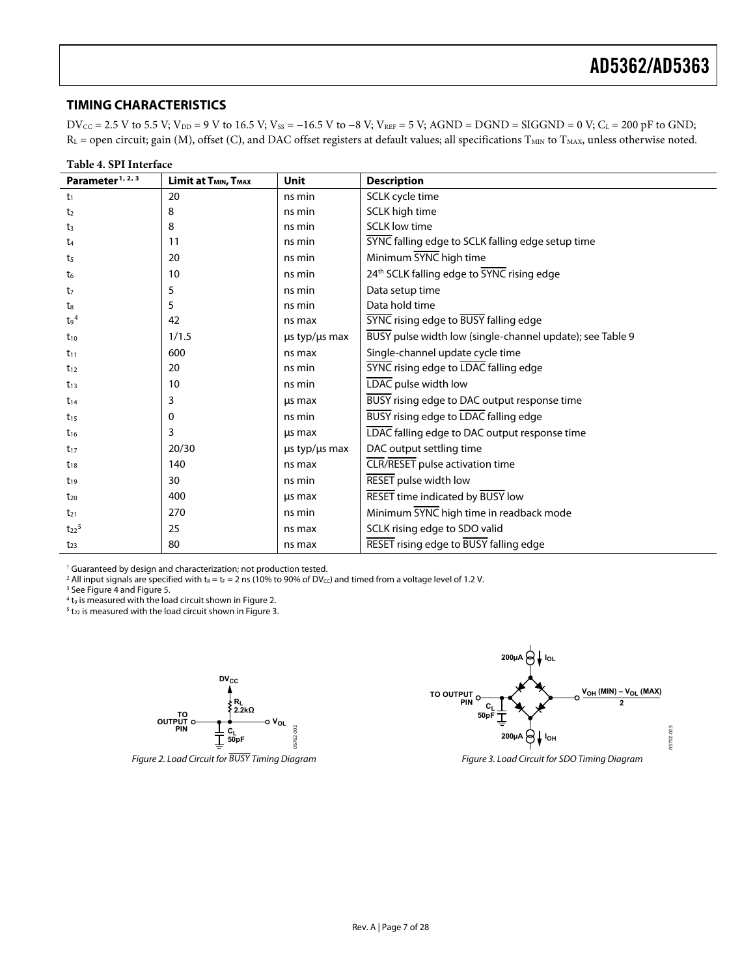#### <span id="page-6-0"></span>**TIMING CHARACTERISTICS**

 $DV_{CC} = 2.5 V$  to 5.5 V;  $V_{DD} = 9 V$  to 16.5 V;  $V_{SS} = -16.5 V$  to  $-8 V$ ;  $V_{REF} = 5 V$ ;  $AGND = DGND = SIGGND = 0 V$ ;  $C_L = 200 pF$  to  $GND$ ;  $R_L$  = open circuit; gain (M), offset (C), and DAC offset registers at default values; all specifications  $T_{MIN}$  to  $T_{MAX}$ , unless otherwise noted.

| Table 4. SPI Interface       |                                              |                          |                                                           |  |  |
|------------------------------|----------------------------------------------|--------------------------|-----------------------------------------------------------|--|--|
| Parameter <sup>1, 2, 3</sup> | Limit at T <sub>MIN</sub> , T <sub>MAX</sub> | <b>Unit</b>              | <b>Description</b>                                        |  |  |
| t <sub>1</sub>               | 20                                           | ns min                   | SCLK cycle time                                           |  |  |
| t <sub>2</sub>               | 8                                            | ns min                   | SCLK high time                                            |  |  |
| $t_3$                        | 8                                            | ns min                   | <b>SCLK low time</b>                                      |  |  |
| t4                           | 11                                           | ns min                   | SYNC falling edge to SCLK falling edge setup time         |  |  |
| t5                           | 20                                           | ns min                   | Minimum SYNC high time                                    |  |  |
| t6                           | 10                                           | ns min                   | 24th SCLK falling edge to SYNC rising edge                |  |  |
| t7                           | 5                                            | ns min                   | Data setup time                                           |  |  |
| ts                           | 5                                            | ns min                   | Data hold time                                            |  |  |
| $t_9$ <sup>4</sup>           | 42                                           | ns max                   | <b>SYNC</b> rising edge to <b>BUSY</b> falling edge       |  |  |
| $t_{10}$                     | 1/1.5                                        | $\mu s$ typ/ $\mu s$ max | BUSY pulse width low (single-channel update); see Table 9 |  |  |
| $t_{11}$                     | 600                                          | ns max                   | Single-channel update cycle time                          |  |  |
| $t_{12}$                     | 20                                           | ns min                   | SYNC rising edge to LDAC falling edge                     |  |  |
| $t_{13}$                     | 10                                           | ns min                   | LDAC pulse width low                                      |  |  |
| $t_{14}$                     | 3                                            | us max                   | BUSY rising edge to DAC output response time              |  |  |
| $t_{15}$                     | 0                                            | ns min                   | BUSY rising edge to LDAC falling edge                     |  |  |
| $t_{16}$                     | 3                                            | us max                   | LDAC falling edge to DAC output response time             |  |  |
| $t_{17}$                     | 20/30                                        | $\mu s$ typ/ $\mu s$ max | DAC output settling time                                  |  |  |
| $t_{18}$                     | 140                                          | ns max                   | CLR/RESET pulse activation time                           |  |  |
| $t_{19}$                     | 30                                           | ns min                   | <b>RESET</b> pulse width low                              |  |  |
| $t_{20}$                     | 400                                          | us max                   | <b>RESET</b> time indicated by BUSY low                   |  |  |
| $t_{21}$                     | 270                                          | ns min                   | Minimum SYNC high time in readback mode                   |  |  |
| $t_{22}$ <sup>5</sup>        | 25                                           | ns max                   | SCLK rising edge to SDO valid                             |  |  |
| $t_{23}$                     | 80                                           | ns max                   | RESET rising edge to BUSY falling edge                    |  |  |

<sup>1</sup> Guaranteed by design and characterization; not production tested.<br><sup>2</sup> All input signals are specified with to = to = 2 ps (10% to 90% of DV*c* 

<sup>2</sup> All input signals are specified with t<sub>R</sub> = t<sub>F</sub> = 2 ns (10% to 90% of DV<sub>CC</sub>) and timed from a voltage level of 1.2 V.

<sup>3</sup> See Figure 4 and Figure 5.

 $4$  t<sub>9</sub> is measured with the load circuit shown in Figure 2.

 $5$  t<sub>22</sub> is measured with the load circuit shown in Figure 3.





Figure 2. Load Circuit for BUSY Timing Diagram Figure 3. Load Circuit for SDO Timing Diagram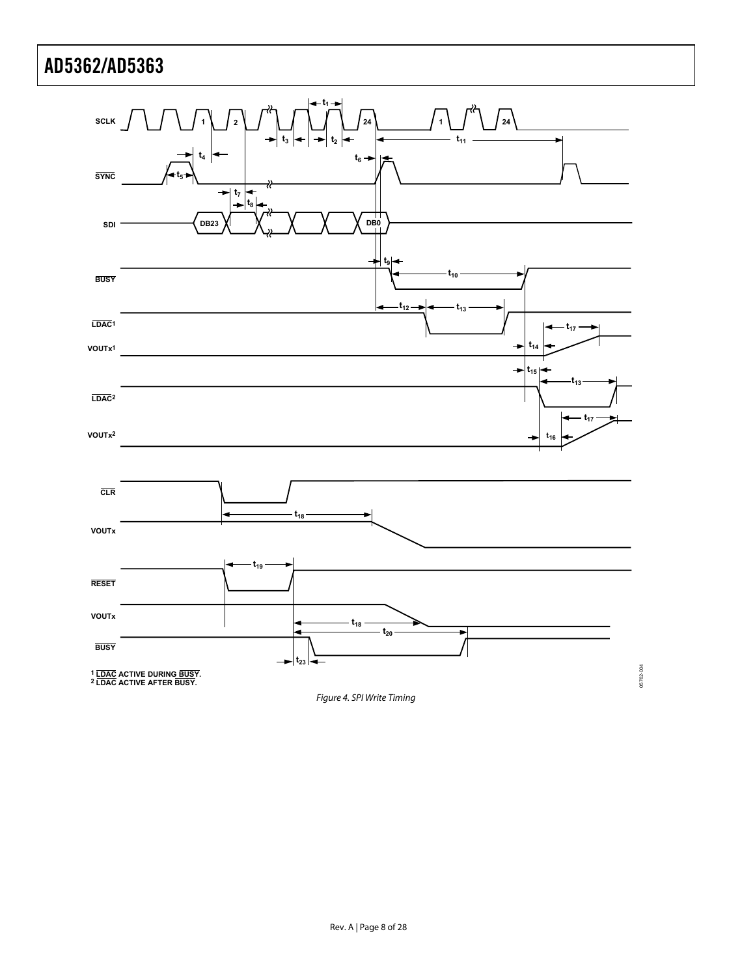<span id="page-7-0"></span>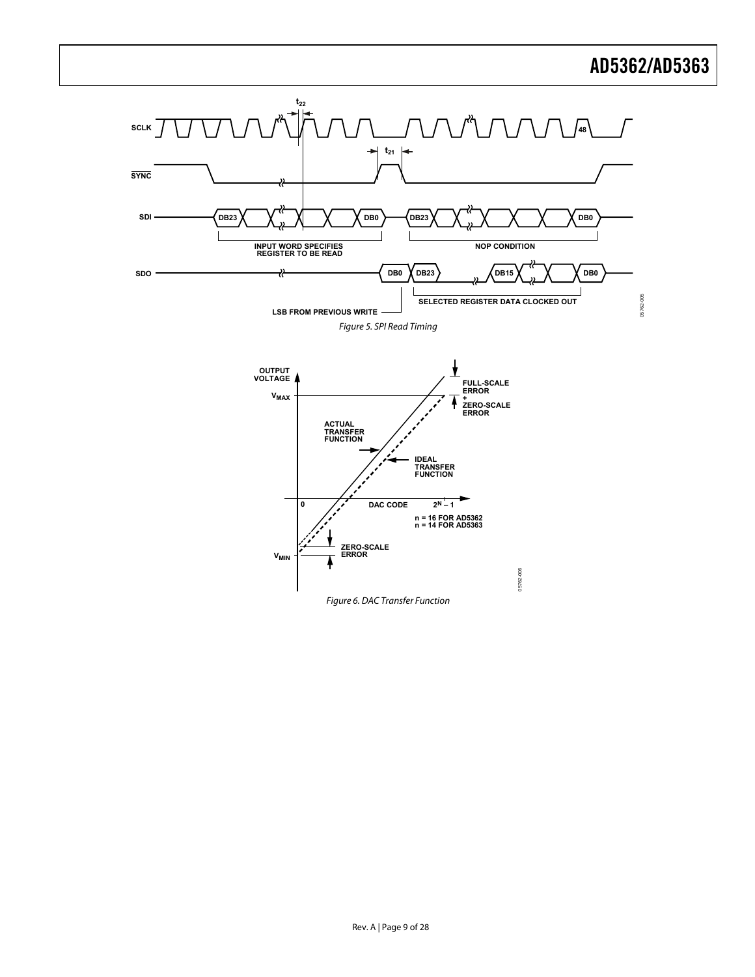<span id="page-8-0"></span>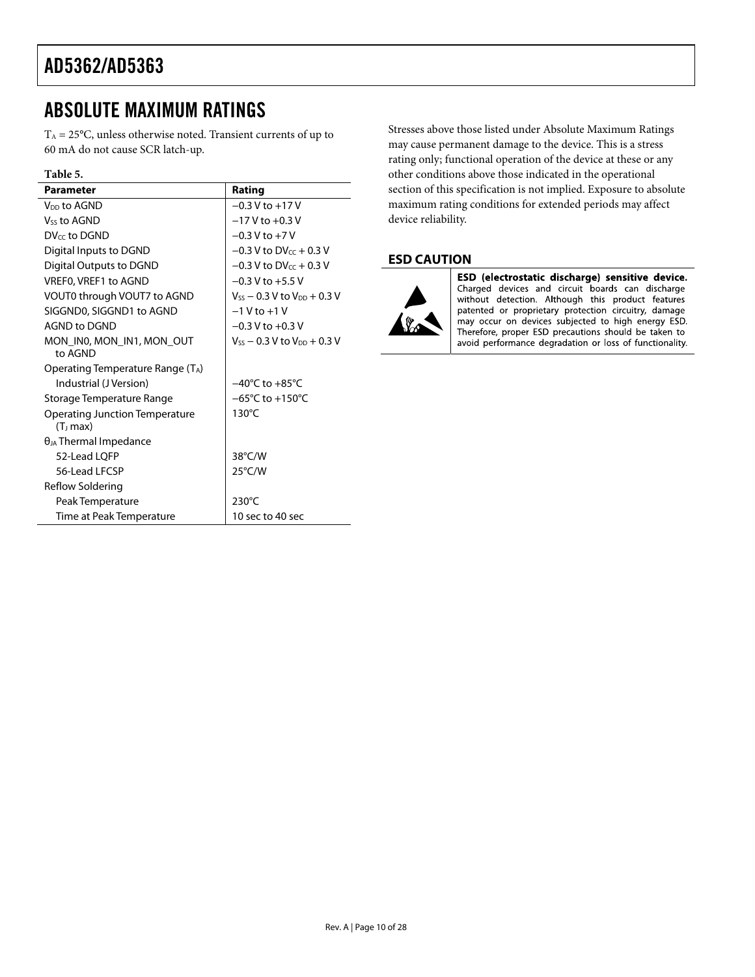# <span id="page-9-0"></span>ABSOLUTE MAXIMUM RATINGS

 $T_A = 25$ °C, unless otherwise noted. Transient currents of up to 60 mA do not cause SCR latch-up.

### **Table 5.**

| <b>Parameter</b>                                              | Rating                               |
|---------------------------------------------------------------|--------------------------------------|
| V <sub>DD</sub> to AGND                                       | $-0.3$ V to $+17$ V                  |
| Vss to AGND                                                   | $-17$ V to $+0.3$ V                  |
| DV <sub>cc</sub> to DGND                                      | $-0.3$ V to $+7$ V                   |
| Digital Inputs to DGND                                        | $-0.3$ V to DV <sub>cc</sub> + 0.3 V |
| Digital Outputs to DGND                                       | $-0.3$ V to DV $cc + 0.3$ V          |
| VREF0, VREF1 to AGND                                          | $-0.3$ V to $+5.5$ V                 |
| VOUT0 through VOUT7 to AGND                                   | $V_{SS}$ – 0.3 V to $V_{DD}$ + 0.3 V |
| SIGGND0, SIGGND1 to AGND                                      | $-1$ V to $+1$ V                     |
| AGND to DGND                                                  | $-0.3$ V to $+0.3$ V                 |
| MON_IN0, MON_IN1, MON_OUT<br>to AGND                          | $V_{SS}$ – 0.3 V to $V_{DD}$ + 0.3 V |
| Operating Temperature Range (TA)                              |                                      |
| Industrial (J Version)                                        | $-40^{\circ}$ C to $+85^{\circ}$ C   |
| Storage Temperature Range                                     | $-65^{\circ}$ C to $+150^{\circ}$ C  |
| <b>Operating Junction Temperature</b><br>(T <sub>J</sub> max) | $130^{\circ}$ C                      |
| $\theta_{JA}$ Thermal Impedance                               |                                      |
| 52-Lead LOFP                                                  | 38°C/W                               |
| 56-Lead LFCSP                                                 | $25^{\circ}$ C/W                     |
| Reflow Soldering                                              |                                      |
| Peak Temperature                                              | $230^{\circ}$ C                      |
| Time at Peak Temperature                                      | 10 sec to 40 sec                     |

Stresses above those listed under Absolute Maximum Ratings may cause permanent damage to the device. This is a stress rating only; functional operation of the device at these or any other conditions above those indicated in the operational section of this specification is not implied. Exposure to absolute maximum rating conditions for extended periods may affect device reliability.

## **ESD CAUTION**



ESD (electrostatic discharge) sensitive device. Charged devices and circuit boards can discharge without detection. Although this product features patented or proprietary protection circuitry, damage may occur on devices subjected to high energy ESD. Therefore, proper ESD precautions should be taken to avoid performance degradation or loss of functionality.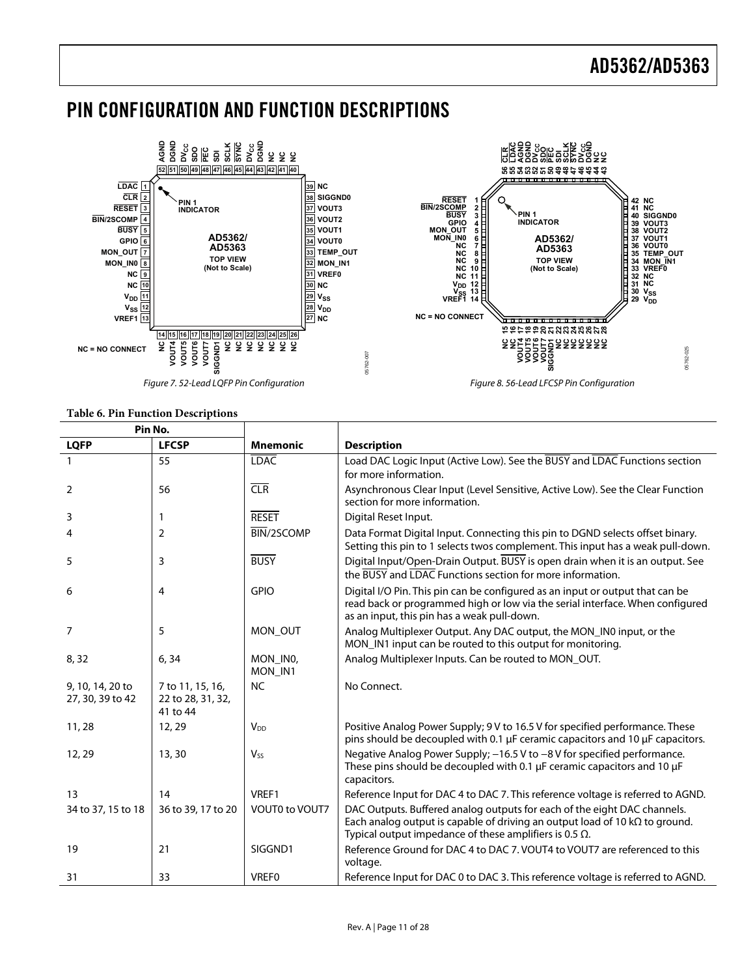## <span id="page-10-0"></span>PIN CONFIGURATION AND FUNCTION DESCRIPTIONS



#### **Table 6. Pin Function Descriptions**

| Pin No.                              |                                                   |                     |                                                                                                                                                                                                                                  |
|--------------------------------------|---------------------------------------------------|---------------------|----------------------------------------------------------------------------------------------------------------------------------------------------------------------------------------------------------------------------------|
| <b>LQFP</b>                          | <b>LFCSP</b>                                      | <b>Mnemonic</b>     | <b>Description</b>                                                                                                                                                                                                               |
|                                      | 55                                                | <b>LDAC</b>         | Load DAC Logic Input (Active Low). See the BUSY and LDAC Functions section<br>for more information.                                                                                                                              |
| 2                                    | 56                                                | CLR                 | Asynchronous Clear Input (Level Sensitive, Active Low). See the Clear Function<br>section for more information.                                                                                                                  |
| 3                                    | 1                                                 | <b>RESET</b>        | Digital Reset Input.                                                                                                                                                                                                             |
| 4                                    | 2                                                 | BIN/2SCOMP          | Data Format Digital Input. Connecting this pin to DGND selects offset binary.<br>Setting this pin to 1 selects twos complement. This input has a weak pull-down.                                                                 |
| 5                                    | 3                                                 | <b>BUSY</b>         | Digital Input/Open-Drain Output. BUSY is open drain when it is an output. See<br>the BUSY and LDAC Functions section for more information.                                                                                       |
| 6                                    | 4                                                 | <b>GPIO</b>         | Digital I/O Pin. This pin can be configured as an input or output that can be<br>read back or programmed high or low via the serial interface. When configured<br>as an input, this pin has a weak pull-down.                    |
| $\overline{7}$                       | 5                                                 | MON OUT             | Analog Multiplexer Output. Any DAC output, the MON_IN0 input, or the<br>MON_IN1 input can be routed to this output for monitoring.                                                                                               |
| 8,32                                 | 6, 34                                             | MON INO,<br>MON IN1 | Analog Multiplexer Inputs. Can be routed to MON_OUT.                                                                                                                                                                             |
| 9, 10, 14, 20 to<br>27, 30, 39 to 42 | 7 to 11, 15, 16,<br>22 to 28, 31, 32,<br>41 to 44 | <b>NC</b>           | No Connect.                                                                                                                                                                                                                      |
| 11, 28                               | 12, 29                                            | V <sub>DD</sub>     | Positive Analog Power Supply; 9 V to 16.5 V for specified performance. These<br>pins should be decoupled with 0.1 µF ceramic capacitors and 10 µF capacitors.                                                                    |
| 12, 29                               | 13,30                                             | $V_{SS}$            | Negative Analog Power Supply; -16.5 V to -8 V for specified performance.<br>These pins should be decoupled with 0.1 µF ceramic capacitors and 10 µF<br>capacitors.                                                               |
| 13                                   | 14                                                | VREF1               | Reference Input for DAC 4 to DAC 7. This reference voltage is referred to AGND.                                                                                                                                                  |
| 34 to 37, 15 to 18                   | 36 to 39, 17 to 20                                | VOUT0 to VOUT7      | DAC Outputs. Buffered analog outputs for each of the eight DAC channels.<br>Each analog output is capable of driving an output load of 10 $k\Omega$ to ground.<br>Typical output impedance of these amplifiers is 0.5 $\Omega$ . |
| 19                                   | 21                                                | SIGGND1             | Reference Ground for DAC 4 to DAC 7. VOUT4 to VOUT7 are referenced to this<br>voltage.                                                                                                                                           |
| 31                                   | 33                                                | <b>VREFO</b>        | Reference Input for DAC 0 to DAC 3. This reference voltage is referred to AGND.                                                                                                                                                  |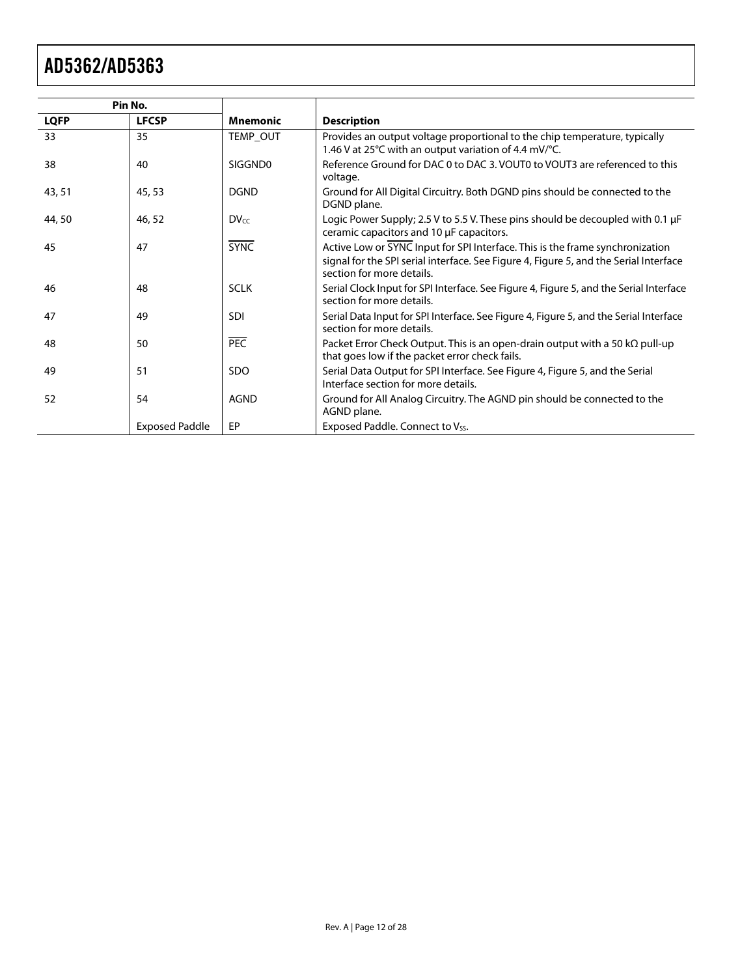| Pin No.     |                       |                 |                                                                                                                                                                                                     |
|-------------|-----------------------|-----------------|-----------------------------------------------------------------------------------------------------------------------------------------------------------------------------------------------------|
| <b>LQFP</b> | <b>LFCSP</b>          | <b>Mnemonic</b> | <b>Description</b>                                                                                                                                                                                  |
| 33          | 35                    | TEMP_OUT        | Provides an output voltage proportional to the chip temperature, typically<br>1.46 V at 25 $\degree$ C with an output variation of 4.4 mV/ $\degree$ C.                                             |
| 38          | 40                    | SIGGND0         | Reference Ground for DAC 0 to DAC 3. VOUT0 to VOUT3 are referenced to this<br>voltage.                                                                                                              |
| 43, 51      | 45,53                 | <b>DGND</b>     | Ground for All Digital Circuitry. Both DGND pins should be connected to the<br>DGND plane.                                                                                                          |
| 44,50       | 46,52                 | DVec            | Logic Power Supply; 2.5 V to 5.5 V. These pins should be decoupled with 0.1 $\mu$ F<br>ceramic capacitors and 10 µF capacitors.                                                                     |
| 45          | 47                    | <b>SYNC</b>     | Active Low or SYNC Input for SPI Interface. This is the frame synchronization<br>signal for the SPI serial interface. See Figure 4, Figure 5, and the Serial Interface<br>section for more details. |
| 46          | 48                    | <b>SCLK</b>     | Serial Clock Input for SPI Interface. See Figure 4, Figure 5, and the Serial Interface<br>section for more details.                                                                                 |
| 47          | 49                    | <b>SDI</b>      | Serial Data Input for SPI Interface. See Figure 4, Figure 5, and the Serial Interface<br>section for more details.                                                                                  |
| 48          | 50                    | PEC             | Packet Error Check Output. This is an open-drain output with a 50 $k\Omega$ pull-up<br>that goes low if the packet error check fails.                                                               |
| 49          | 51                    | SDO             | Serial Data Output for SPI Interface. See Figure 4, Figure 5, and the Serial<br>Interface section for more details.                                                                                 |
| 52          | 54                    | <b>AGND</b>     | Ground for All Analog Circuitry. The AGND pin should be connected to the<br>AGND plane.                                                                                                             |
|             | <b>Exposed Paddle</b> | EP              | Exposed Paddle. Connect to Vss.                                                                                                                                                                     |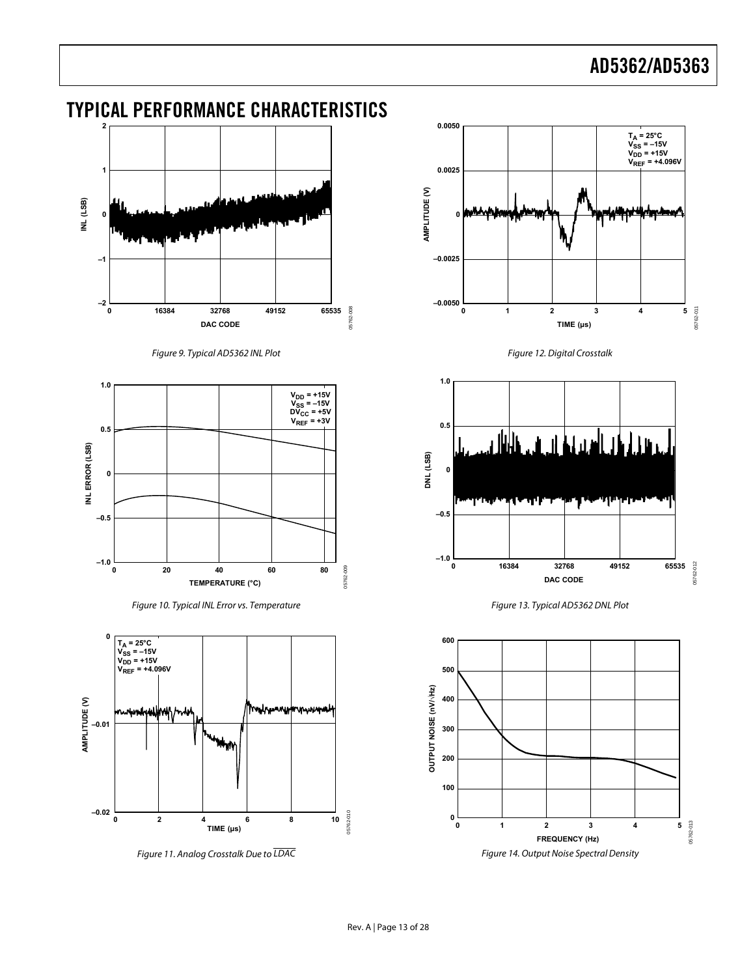# <span id="page-12-0"></span>TYPICAL PERFORMANCE CHARACTERISTICS



Figure 9. Typical AD5362 INL Plot Figure 12. Digital Crosstalk



Figure 10. Typical INL Error vs. Temperature Figure 13. Typical AD5362 DNL Plot







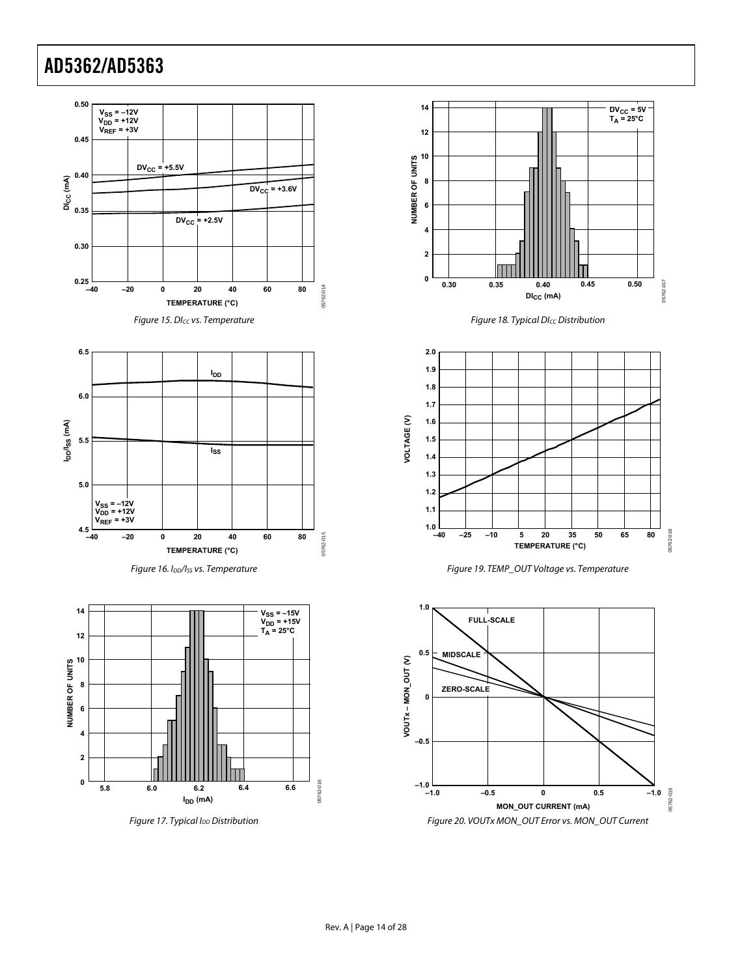<span id="page-13-0"></span>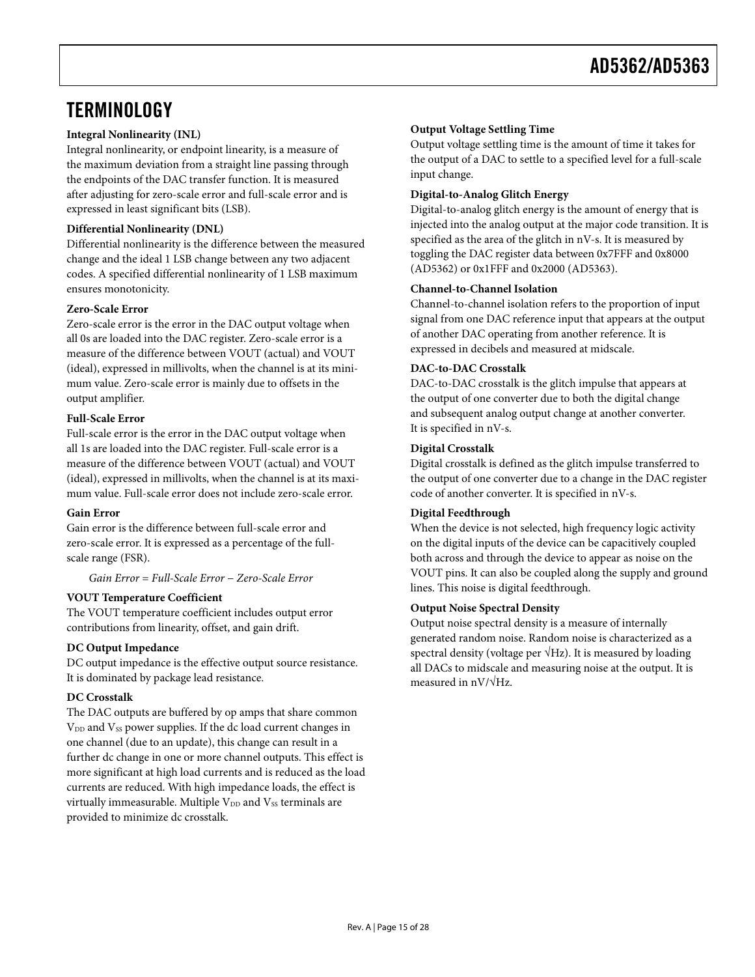## <span id="page-14-0"></span>**TERMINOLOGY**

#### **Integral Nonlinearity (INL)**

Integral nonlinearity, or endpoint linearity, is a measure of the maximum deviation from a straight line passing through the endpoints of the DAC transfer function. It is measured after adjusting for zero-scale error and full-scale error and is expressed in least significant bits (LSB).

#### **Differential Nonlinearity (DNL)**

Differential nonlinearity is the difference between the measured change and the ideal 1 LSB change between any two adjacent codes. A specified differential nonlinearity of 1 LSB maximum ensures monotonicity.

#### **Zero-Scale Error**

Zero-scale error is the error in the DAC output voltage when all 0s are loaded into the DAC register. Zero-scale error is a measure of the difference between VOUT (actual) and VOUT (ideal), expressed in millivolts, when the channel is at its minimum value. Zero-scale error is mainly due to offsets in the output amplifier.

#### **Full-Scale Error**

Full-scale error is the error in the DAC output voltage when all 1s are loaded into the DAC register. Full-scale error is a measure of the difference between VOUT (actual) and VOUT (ideal), expressed in millivolts, when the channel is at its maximum value. Full-scale error does not include zero-scale error.

#### **Gain Error**

Gain error is the difference between full-scale error and zero-scale error. It is expressed as a percentage of the fullscale range (FSR).

#### *Gain Error* = *Full-Scale Error* − *Zero-Scale Error*

#### **VOUT Temperature Coefficient**

The VOUT temperature coefficient includes output error contributions from linearity, offset, and gain drift.

#### **DC Output Impedance**

DC output impedance is the effective output source resistance. It is dominated by package lead resistance.

#### **DC Crosstalk**

The DAC outputs are buffered by op amps that share common V<sub>DD</sub> and V<sub>SS</sub> power supplies. If the dc load current changes in one channel (due to an update), this change can result in a further dc change in one or more channel outputs. This effect is more significant at high load currents and is reduced as the load currents are reduced. With high impedance loads, the effect is virtually immeasurable. Multiple  $V_{DD}$  and  $V_{SS}$  terminals are provided to minimize dc crosstalk.

#### **Output Voltage Settling Time**

Output voltage settling time is the amount of time it takes for the output of a DAC to settle to a specified level for a full-scale input change.

#### **Digital-to-Analog Glitch Energy**

Digital-to-analog glitch energy is the amount of energy that is injected into the analog output at the major code transition. It is specified as the area of the glitch in nV-s. It is measured by toggling the DAC register data between 0x7FFF and 0x8000 (AD5362) or 0x1FFF and 0x2000 (AD5363).

#### **Channel-to-Channel Isolation**

Channel-to-channel isolation refers to the proportion of input signal from one DAC reference input that appears at the output of another DAC operating from another reference. It is expressed in decibels and measured at midscale.

#### **DAC-to-DAC Crosstalk**

DAC-to-DAC crosstalk is the glitch impulse that appears at the output of one converter due to both the digital change and subsequent analog output change at another converter. It is specified in nV-s.

#### **Digital Crosstalk**

Digital crosstalk is defined as the glitch impulse transferred to the output of one converter due to a change in the DAC register code of another converter. It is specified in nV-s.

#### **Digital Feedthrough**

When the device is not selected, high frequency logic activity on the digital inputs of the device can be capacitively coupled both across and through the device to appear as noise on the VOUT pins. It can also be coupled along the supply and ground lines. This noise is digital feedthrough.

#### **Output Noise Spectral Density**

Output noise spectral density is a measure of internally generated random noise. Random noise is characterized as a spectral density (voltage per  $\sqrt{Hz}$ ). It is measured by loading all DACs to midscale and measuring noise at the output. It is measured in  $nV/\sqrt{Hz}$ .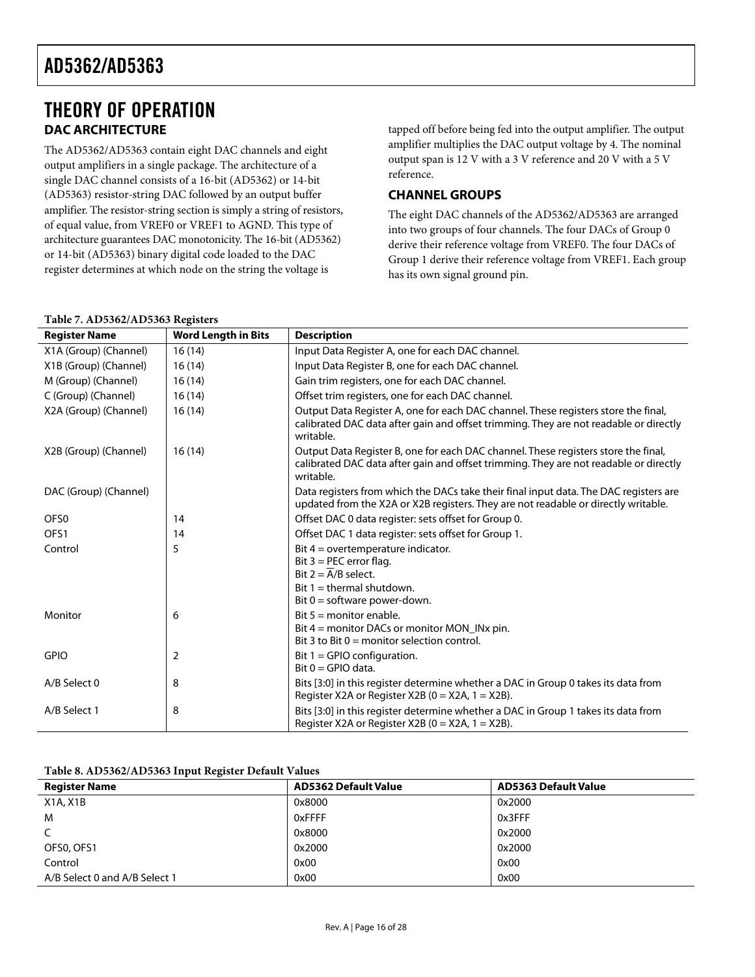## <span id="page-15-0"></span>THEORY OF OPERATION **DAC ARCHITECTURE**

The AD5362/AD5363 contain eight DAC channels and eight output amplifiers in a single package. The architecture of a single DAC channel consists of a 16-bit (AD5362) or 14-bit (AD5363) resistor-string DAC followed by an output buffer amplifier. The resistor-string section is simply a string of resistors, of equal value, from VREF0 or VREF1 to AGND. This type of architecture guarantees DAC monotonicity. The 16-bit (AD5362) or 14-bit (AD5363) binary digital code loaded to the DAC register determines at which node on the string the voltage is

tapped off before being fed into the output amplifier. The output amplifier multiplies the DAC output voltage by 4. The nominal output span is 12 V with a 3 V reference and 20 V with a 5 V reference.

### **CHANNEL GROUPS**

The eight DAC channels of the AD5362/AD5363 are arranged into two groups of four channels. The four DACs of Group 0 derive their reference voltage from VREF0. The four DACs of Group 1 derive their reference voltage from VREF1. Each group has its own signal ground pin.

| <b>Register Name</b>  | <b>Word Length in Bits</b> | <b>Description</b>                                                                                                                                                                       |
|-----------------------|----------------------------|------------------------------------------------------------------------------------------------------------------------------------------------------------------------------------------|
| X1A (Group) (Channel) | 16(14)                     | Input Data Register A, one for each DAC channel.                                                                                                                                         |
| X1B (Group) (Channel) | 16(14)                     | Input Data Register B, one for each DAC channel.                                                                                                                                         |
| M (Group) (Channel)   | 16(14)                     | Gain trim registers, one for each DAC channel.                                                                                                                                           |
| C (Group) (Channel)   | 16(14)                     | Offset trim registers, one for each DAC channel.                                                                                                                                         |
| X2A (Group) (Channel) | 16(14)                     | Output Data Register A, one for each DAC channel. These registers store the final,<br>calibrated DAC data after gain and offset trimming. They are not readable or directly<br>writable. |
| X2B (Group) (Channel) | 16(14)                     | Output Data Register B, one for each DAC channel. These registers store the final,<br>calibrated DAC data after gain and offset trimming. They are not readable or directly<br>writable. |
| DAC (Group) (Channel) |                            | Data registers from which the DACs take their final input data. The DAC registers are<br>updated from the X2A or X2B registers. They are not readable or directly writable.              |
| OFS <sub>0</sub>      | 14                         | Offset DAC 0 data register: sets offset for Group 0.                                                                                                                                     |
| OFS1                  | 14                         | Offset DAC 1 data register: sets offset for Group 1.                                                                                                                                     |
| Control               | 5                          | Bit $4 =$ overtemperature indicator.<br>Bit $3 = PEC$ error flag.<br>Bit $2 = A/B$ select.<br>Bit $1 =$ thermal shutdown.<br>Bit $0 =$ software power-down.                              |
| Monitor               | 6                          | Bit $5 =$ monitor enable.<br>Bit $4 =$ monitor DACs or monitor MON INx pin.<br>Bit 3 to Bit $0 =$ monitor selection control.                                                             |
| <b>GPIO</b>           | 2                          | Bit $1 = GPO$ configuration.<br>Bit $0 = G$ PIO data.                                                                                                                                    |
| A/B Select 0          | 8                          | Bits [3:0] in this register determine whether a DAC in Group 0 takes its data from<br>Register X2A or Register X2B ( $0 = X2A$ , $1 = X2B$ ).                                            |
| A/B Select 1          | 8                          | Bits [3:0] in this register determine whether a DAC in Group 1 takes its data from<br>Register X2A or Register X2B ( $0 = X2A$ , $1 = X2B$ ).                                            |

#### **Table 7. AD5362/AD5363 Registers**

#### **Table 8. AD5362/AD5363 Input Register Default Values**

| <b>Register Name</b>          | <b>AD5362 Default Value</b> | <b>AD5363 Default Value</b> |
|-------------------------------|-----------------------------|-----------------------------|
| X1A, X1B                      | 0x8000                      | 0x2000                      |
| M                             | 0xFFFF                      | 0x3FFF                      |
|                               | 0x8000                      | 0x2000                      |
| OFS0, OFS1                    | 0x2000                      | 0x2000                      |
| Control                       | 0x00                        | 0x00                        |
| A/B Select 0 and A/B Select 1 | 0x00                        | 0x00                        |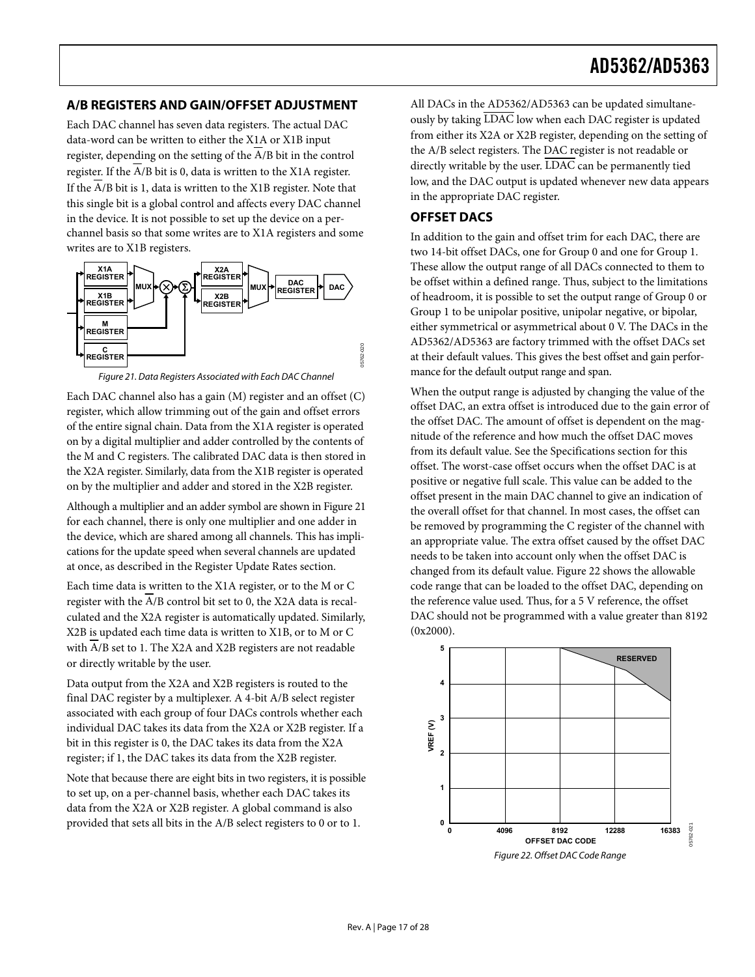#### <span id="page-16-0"></span>**A/B REGISTERS AND GAIN/OFFSET ADJUSTMENT**

Each DAC channel has seven data registers. The actual DAC data-word can be written to either the X1A or X1B input register, depending on the setting of the  $\overline{A/B}$  bit in the control register. If the A/B bit is 0, data is written to the X1A register. If the A/B bit is 1, data is written to the X1B register. Note that this single bit is a global control and affects every DAC channel in the device. It is not possible to set up the device on a perchannel basis so that some writes are to X1A registers and some writes are to X1B registers.

<span id="page-16-1"></span>

Figure 21. Data Registers Associated with Each DAC Channel

<span id="page-16-2"></span>Each DAC channel also has a gain (M) register and an offset (C) register, which allow trimming out of the gain and offset errors of the entire signal chain. Data from the X1A register is operated on by a digital multiplier and adder controlled by the contents of the M and C registers. The calibrated DAC data is then stored in the X2A register. Similarly, data from the X1B register is operated on by the multiplier and adder and stored in the X2B register.

Although a multiplier and an adder symbol are shown in [Figure 21](#page-16-2) for each channel, there is only one multiplier and one adder in the device, which are shared among all channels. This has implications for the update speed when several channels are updated at once, as described in the [Register Update Rates](#page-21-2) section.

Each time data is written to the X1A register, or to the M or C register with the A/B control bit set to 0, the X2A data is recalculated and the X2A register is automatically updated. Similarly, X2B is updated each time data is written to X1B, or to M or C with A/B set to 1. The X2A and X2B registers are not readable or directly writable by the user.

Data output from the X2A and X2B registers is routed to the final DAC register by a multiplexer. A 4-bit A/B select register associated with each group of four DACs controls whether each individual DAC takes its data from the X2A or X2B register. If a bit in this register is 0, the DAC takes its data from the X2A register; if 1, the DAC takes its data from the X2B register.

<span id="page-16-3"></span>Note that because there are eight bits in two registers, it is possible to set up, on a per-channel basis, whether each DAC takes its data from the X2A or X2B register. A global command is also provided that sets all bits in the A/B select registers to 0 or to 1.

All DACs in the AD5362/AD5363 can be updated simultaneously by taking LDAC low when each DAC register is updated from either its X2A or X2B register, depending on the setting of the A/B select registers. The DAC register is not readable or directly writable by the user. LDAC can be permanently tied low, and the DAC output is updated whenever new data appears in the appropriate DAC register.

#### **OFFSET DACS**

In addition to the gain and offset trim for each DAC, there are two 14-bit offset DACs, one for Group 0 and one for Group 1. These allow the output range of all DACs connected to them to be offset within a defined range. Thus, subject to the limitations of headroom, it is possible to set the output range of Group 0 or Group 1 to be unipolar positive, unipolar negative, or bipolar, either symmetrical or asymmetrical about 0 V. The DACs in the AD5362/AD5363 are factory trimmed with the offset DACs set at their default values. This gives the best offset and gain performance for the default output range and span.

When the output range is adjusted by changing the value of the offset DAC, an extra offset is introduced due to the gain error of the offset DAC. The amount of offset is dependent on the magnitude of the reference and how much the offset DAC moves from its default value. See the [Specifications](#page-3-1) section for this offset. The worst-case offset occurs when the offset DAC is at positive or negative full scale. This value can be added to the offset present in the main DAC channel to give an indication of the overall offset for that channel. In most cases, the offset can be removed by programming the C register of the channel with an appropriate value. The extra offset caused by the offset DAC needs to be taken into account only when the offset DAC is changed from its default value. [Figure 22](#page-16-3) shows the allowable code range that can be loaded to the offset DAC, depending on the reference value used. Thus, for a 5 V reference, the offset DAC should not be programmed with a value greater than 8192 (0x2000).

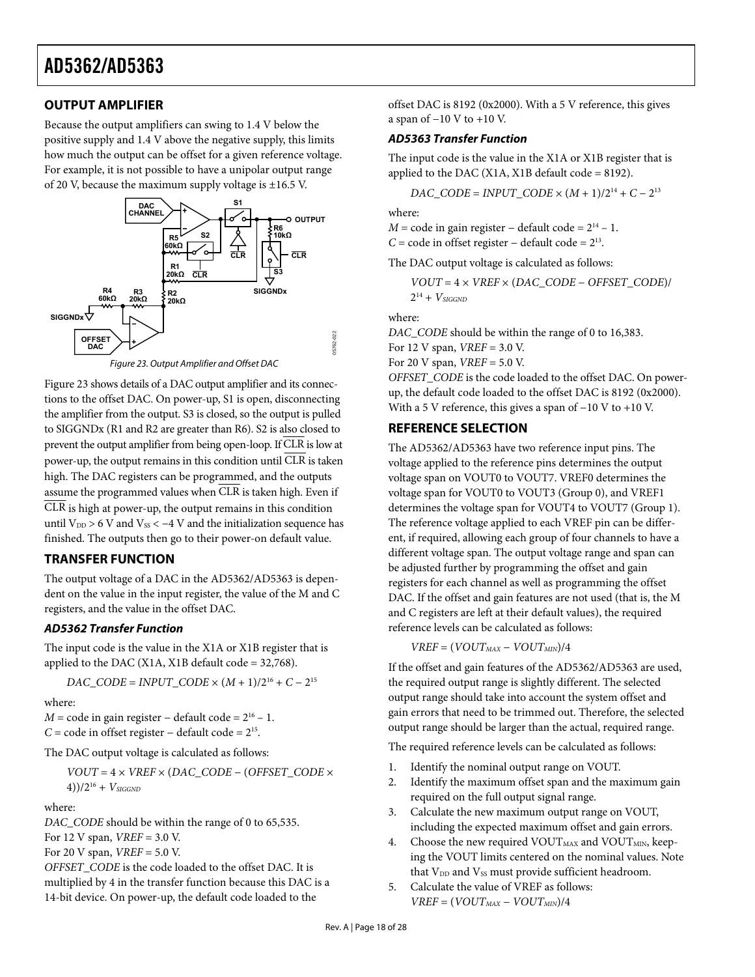## <span id="page-17-1"></span><span id="page-17-0"></span>**OUTPUT AMPLIFIER**

Because the output amplifiers can swing to 1.4 V below the positive supply and 1.4 V above the negative supply, this limits how much the output can be offset for a given reference voltage. For example, it is not possible to have a unipolar output range of 20 V, because the maximum supply voltage is  $\pm 16.5$  V.



<span id="page-17-2"></span>[Figure 23](#page-17-2) shows details of a DAC output amplifier and its connections to the offset DAC. On power-up, S1 is open, disconnecting the amplifier from the output. S3 is closed, so the output is pulled to SIGGNDx (R1 and R2 are greater than R6). S2 is also closed to prevent the output amplifier from being open-loop. If CLR is low at power-up, the output remains in this condition until  $\overline{\text{CLR}}$  is taken high. The DAC registers can be programmed, and the outputs assume the programmed values when CLR is taken high. Even if  $\overline{CLR}$  is high at power-up, the output remains in this condition until  $V_{DD} > 6$  V and  $V_{SS} < -4$  V and the initialization sequence has finished. The outputs then go to their power-on default value.

#### **TRANSFER FUNCTION**

The output voltage of a DAC in the AD5362/AD5363 is dependent on the value in the input register, the value of the M and C registers, and the value in the offset DAC.

#### **AD5362 Transfer Function**

The input code is the value in the X1A or X1B register that is applied to the DAC (X1A, X1B default code =  $32,768$ ).

$$
DAC\_CODE = INPUT\_CODE \times (M + 1)/2^{16} + C - 2^{15}
$$

where:

*M* = code in gain register – default code =  $2^{16}$  – 1. *C* = code in offset register – default code =  $2^{15}$ .

The DAC output voltage is calculated as follows:

*VOUT* = 4 × *VREF* × (*DAC\_CODE* − (*OFFSET\_CODE* ×  $(4))/2^{16} + V_{SIGGND}$ 

where:

*DAC\_CODE* should be within the range of 0 to 65,535.

For 12 V span, *VREF* = 3.0 V.

For 20 V span, *VREF* = 5.0 V.

*OFFSET\_CODE* is the code loaded to the offset DAC. It is multiplied by 4 in the transfer function because this DAC is a 14-bit device. On power-up, the default code loaded to the

offset DAC is 8192 (0x2000). With a 5 V reference, this gives a span of −10 V to +10 V.

#### **AD5363 Transfer Function**

The input code is the value in the X1A or X1B register that is applied to the DAC (X1A, X1B default code = 8192).

$$
DAC\_CODE = INPUT\_CODE \times (M + 1)/2^{14} + C - 2^{13}
$$

where:

*M* = code in gain register – default code =  $2^{14}$  – 1.

*C* = code in offset register – default code =  $2^{13}$ .

The DAC output voltage is calculated as follows:

$$
VOUT=4\times VREF\times (DAC\_CODE-OFFSET\_CODE)/\\ 2^{14}+V_{SIGGND}
$$

where:

*DAC\_CODE* should be within the range of 0 to 16,383. For 12 V span, *VREF* = 3.0 V. For 20 V span, *VREF* = 5.0 V. *OFFSET\_CODE* is the code loaded to the offset DAC. On power-

up, the default code loaded to the offset DAC is 8192 (0x2000). With a 5 V reference, this gives a span of −10 V to +10 V.

#### **REFERENCE SELECTION**

The AD5362/AD5363 have two reference input pins. The voltage applied to the reference pins determines the output voltage span on VOUT0 to VOUT7. VREF0 determines the voltage span for VOUT0 to VOUT3 (Group 0), and VREF1 determines the voltage span for VOUT4 to VOUT7 (Group 1). The reference voltage applied to each VREF pin can be different, if required, allowing each group of four channels to have a different voltage span. The output voltage range and span can be adjusted further by programming the offset and gain registers for each channel as well as programming the offset DAC. If the offset and gain features are not used (that is, the M and C registers are left at their default values), the required reference levels can be calculated as follows:

 $VREF = (VOUT_{MAX} - VOUT_{MIN})/4$ 

If the offset and gain features of the AD5362/AD5363 are used, the required output range is slightly different. The selected output range should take into account the system offset and gain errors that need to be trimmed out. Therefore, the selected output range should be larger than the actual, required range.

The required reference levels can be calculated as follows:

- 1. Identify the nominal output range on VOUT.
- 2. Identify the maximum offset span and the maximum gain required on the full output signal range.
- 3. Calculate the new maximum output range on VOUT, including the expected maximum offset and gain errors.
- 4. Choose the new required VOUT $_{\text{MAX}}$  and VOUT $_{\text{MIN}}$ , keeping the VOUT limits centered on the nominal values. Note that  $V_{DD}$  and  $V_{SS}$  must provide sufficient headroom.
- 5. Calculate the value of VREF as follows:  $VREF = (VOUT<sub>MAX</sub> - VOUT<sub>MIN</sub>)/4$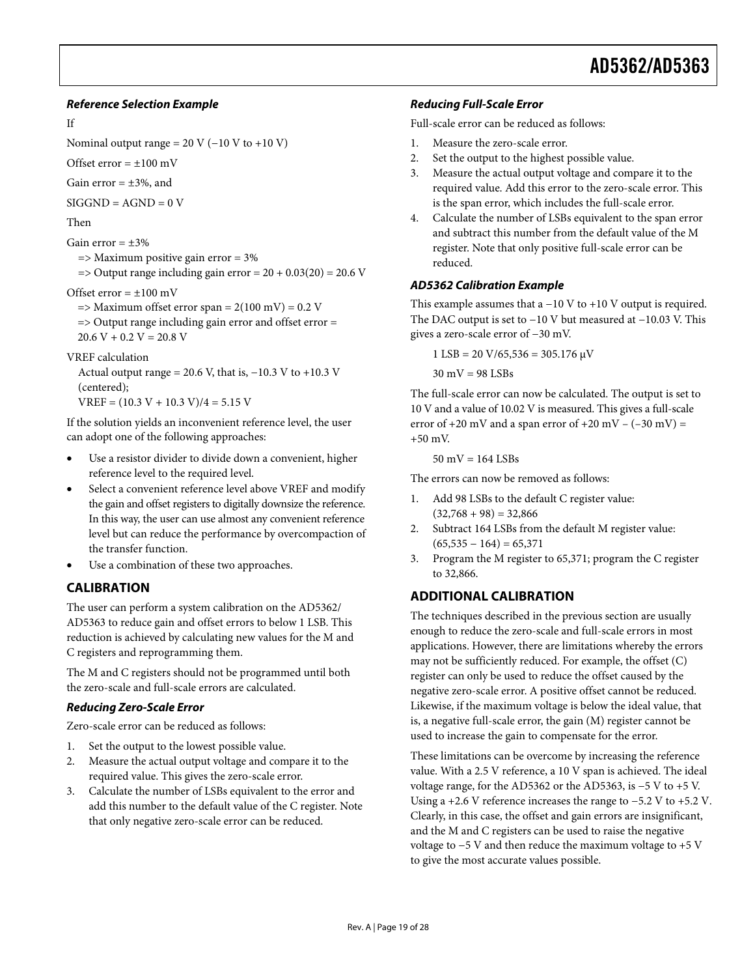#### <span id="page-18-0"></span>**Reference Selection Example**

#### If

Nominal output range =  $20$  V ( $-10$  V to  $+10$  V)

Offset error  $= \pm 100$  mV

Gain error  $= \pm 3\%$ , and

 $SIGGND = AGND = 0 V$ 

Then

Gain error  $= +3\%$ 

=> Maximum positive gain error = 3%

 $\Rightarrow$  Output range including gain error = 20 + 0.03(20) = 20.6 V

Offset error  $= \pm 100$  mV

 $\Rightarrow$  Maximum offset error span = 2(100 mV) = 0.2 V => Output range including gain error and offset error =  $20.6 V + 0.2 V = 20.8 V$ 

#### VREF calculation

Actual output range = 20.6 V, that is,  $-10.3$  V to  $+10.3$  V (centered);

 $VREF = (10.3 V + 10.3 V)/4 = 5.15 V$ 

If the solution yields an inconvenient reference level, the user can adopt one of the following approaches:

- Use a resistor divider to divide down a convenient, higher reference level to the required level.
- Select a convenient reference level above VREF and modify the gain and offset registers to digitally downsize the reference. In this way, the user can use almost any convenient reference level but can reduce the performance by overcompaction of the transfer function.
- Use a combination of these two approaches.

#### **CALIBRATION**

The user can perform a system calibration on the AD5362/ AD5363 to reduce gain and offset errors to below 1 LSB. This reduction is achieved by calculating new values for the M and C registers and reprogramming them.

The M and C registers should not be programmed until both the zero-scale and full-scale errors are calculated.

#### **Reducing Zero-Scale Error**

Zero-scale error can be reduced as follows:

- 1. Set the output to the lowest possible value.
- 2. Measure the actual output voltage and compare it to the required value. This gives the zero-scale error.
- 3. Calculate the number of LSBs equivalent to the error and add this number to the default value of the C register. Note that only negative zero-scale error can be reduced.

#### **Reducing Full-Scale Error**

Full-scale error can be reduced as follows:

- 1. Measure the zero-scale error.
- 2. Set the output to the highest possible value.
- 3. Measure the actual output voltage and compare it to the required value. Add this error to the zero-scale error. This is the span error, which includes the full-scale error.
- 4. Calculate the number of LSBs equivalent to the span error and subtract this number from the default value of the M register. Note that only positive full-scale error can be reduced.

#### **AD5362 Calibration Example**

This example assumes that a −10 V to +10 V output is required. The DAC output is set to −10 V but measured at −10.03 V. This gives a zero-scale error of −30 mV.

 $1$  LSB = 20 V/65,536 = 305.176  $\mu$ V

30 mV = 98 LSBs

The full-scale error can now be calculated. The output is set to 10 V and a value of 10.02 V is measured. This gives a full-scale error of  $+20$  mV and a span error of  $+20$  mV – ( $-30$  mV) = +50 mV.

 $50 \text{ mV} = 164 \text{ LSBs}$ 

The errors can now be removed as follows:

- 1. Add 98 LSBs to the default C register value:  $(32,768 + 98) = 32,866$
- 2. Subtract 164 LSBs from the default M register value:  $(65,535 - 164) = 65,371$
- 3. Program the M register to 65,371; program the C register to 32,866.

#### **ADDITIONAL CALIBRATION**

The techniques described in the previous section are usually enough to reduce the zero-scale and full-scale errors in most applications. However, there are limitations whereby the errors may not be sufficiently reduced. For example, the offset (C) register can only be used to reduce the offset caused by the negative zero-scale error. A positive offset cannot be reduced. Likewise, if the maximum voltage is below the ideal value, that is, a negative full-scale error, the gain (M) register cannot be used to increase the gain to compensate for the error.

These limitations can be overcome by increasing the reference value. With a 2.5 V reference, a 10 V span is achieved. The ideal voltage range, for the AD5362 or the AD5363, is −5 V to +5 V. Using a +2.6 V reference increases the range to −5.2 V to +5.2 V. Clearly, in this case, the offset and gain errors are insignificant, and the M and C registers can be used to raise the negative voltage to −5 V and then reduce the maximum voltage to +5 V to give the most accurate values possible.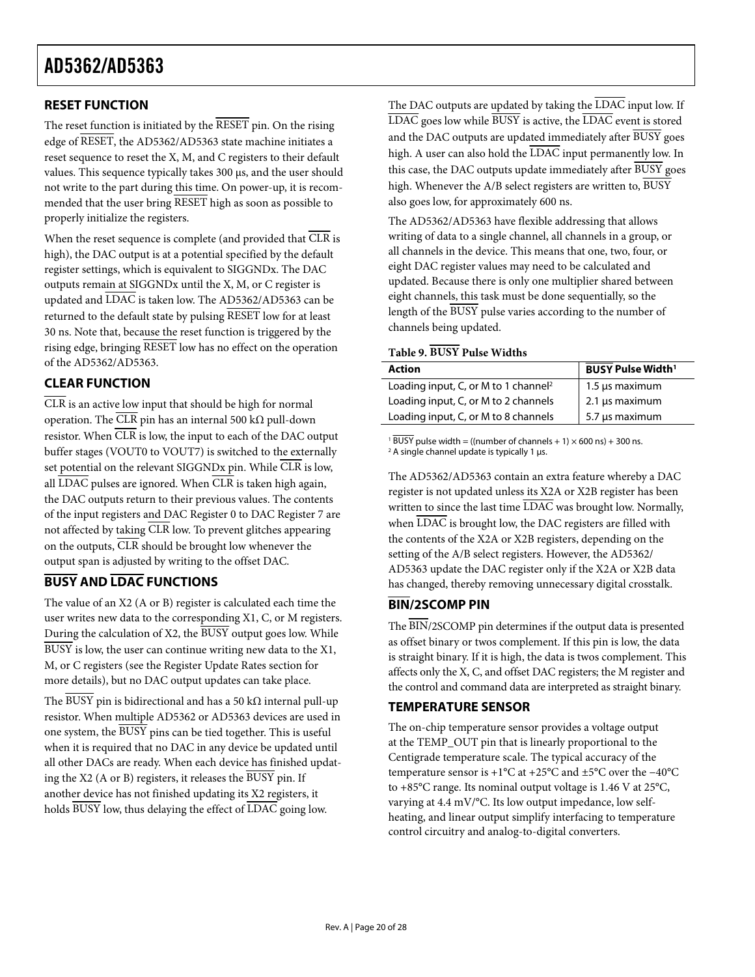## <span id="page-19-1"></span><span id="page-19-0"></span>**RESET FUNCTION**

The reset function is initiated by the  $\overline{\text{RESET}}$  pin. On the rising edge of RESET, the AD5362/AD5363 state machine initiates a reset sequence to reset the X, M, and C registers to their default values. This sequence typically takes 300 μs, and the user should not write to the part during this time. On power-up, it is recommended that the user bring  $\overline{\text{RESET}}$  high as soon as possible to properly initialize the registers.

When the reset sequence is complete (and provided that  $\overline{\text{CLR}}$  is high), the DAC output is at a potential specified by the default register settings, which is equivalent to SIGGNDx. The DAC outputs remain at SIGGNDx until the X, M, or C register is updated and LDAC is taken low. The AD5362/AD5363 can be returned to the default state by pulsing RESET low for at least 30 ns. Note that, because the reset function is triggered by the rising edge, bringing RESET low has no effect on the operation of the AD5362/AD5363.

## <span id="page-19-3"></span><span id="page-19-2"></span>**CLEAR FUNCTION**

 $\overline{\text{CLR}}$  is an active low input that should be high for normal operation. The  $\overline{\text{CLR}}$  pin has an internal 500 k $\Omega$  pull-down resistor. When  $\overline{CLR}$  is low, the input to each of the DAC output buffer stages (VOUT0 to VOUT7) is switched to the externally set potential on the relevant SIGGNDx pin. While  $\overline{\text{CLR}}$  is low, all  $\overline{\text{LDAC}}$  pulses are ignored. When  $\overline{\text{CLR}}$  is taken high again, the DAC outputs return to their previous values. The contents of the input registers and DAC Register 0 to DAC Register 7 are not affected by taking CLR low. To prevent glitches appearing on the outputs, CLR should be brought low whenever the output span is adjusted by writing to the offset DAC.

## **BUSY AND LDAC FUNCTIONS**

The value of an X2 (A or B) register is calculated each time the user writes new data to the corresponding X1, C, or M registers. During the calculation of X2, the  $\overline{BUSY}$  output goes low. While BUSY is low, the user can continue writing new data to the X1, M, or C registers (see the Register Update Rates section for more details), but no DAC output updates can take place.

The BUSY pin is bidirectional and has a 50 k $\Omega$  internal pull-up resistor. When multiple AD5362 or AD5363 devices are used in one system, the BUSY pins can be tied together. This is useful when it is required that no DAC in any device be updated until all other DACs are ready. When each device has finished updating the X2 (A or B) registers, it releases the BUSY pin. If another device has not finished updating its X2 registers, it holds BUSY low, thus delaying the effect of LDAC going low.

The DAC outputs are updated by taking the LDAC input low. If  $\overline{\text{LDAC}}$  goes low while  $\overline{\text{BUSY}}$  is active, the  $\overline{\text{LDAC}}$  event is stored and the DAC outputs are updated immediately after BUSY goes high. A user can also hold the LDAC input permanently low. In this case, the DAC outputs update immediately after BUSY goes high. Whenever the  $A/B$  select registers are written to,  $\overline{BUSY}$ also goes low, for approximately 600 ns.

The AD5362/AD5363 have flexible addressing that allows writing of data to a single channel, all channels in a group, or all channels in the device. This means that one, two, four, or eight DAC register values may need to be calculated and updated. Because there is only one multiplier shared between eight channels, this task must be done sequentially, so the length of the BUSY pulse varies according to the number of channels being updated.

#### **Table 9. BUSY Pulse Widths**

| <b>Action</b>                                    | <b>BUSY</b> Pulse Width <sup>1</sup> |
|--------------------------------------------------|--------------------------------------|
| Loading input, C, or M to 1 channel <sup>2</sup> | 1.5 µs maximum                       |
| Loading input, C, or M to 2 channels             | $\frac{1}{2}$ 2.1 µs maximum         |
| Loading input, C, or M to 8 channels             | $5.7 \,\mu s$ maximum                |

<sup>1</sup> BUSY pulse width = ((number of channels + 1)  $\times$  600 ns) + 300 ns.  $2$  A single channel update is typically 1 μs.

The AD5362/AD5363 contain an extra feature whereby a DAC register is not updated unless its X2A or X2B register has been written to since the last time LDAC was brought low. Normally, when  $\overline{\text{LDAC}}$  is brought low, the DAC registers are filled with the contents of the X2A or X2B registers, depending on the setting of the A/B select registers. However, the AD5362/ AD5363 update the DAC register only if the X2A or X2B data has changed, thereby removing unnecessary digital crosstalk.

## **BIN/2SCOMP PIN**

The BIN/2SCOMP pin determines if the output data is presented as offset binary or twos complement. If this pin is low, the data is straight binary. If it is high, the data is twos complement. This affects only the X, C, and offset DAC registers; the M register and the control and command data are interpreted as straight binary.

#### **TEMPERATURE SENSOR**

The on-chip temperature sensor provides a voltage output at the TEMP\_OUT pin that is linearly proportional to the Centigrade temperature scale. The typical accuracy of the temperature sensor is +1°C at +25°C and ±5°C over the −40°C to +85°C range. Its nominal output voltage is 1.46 V at 25°C, varying at 4.4 mV/°C. Its low output impedance, low selfheating, and linear output simplify interfacing to temperature control circuitry and analog-to-digital converters.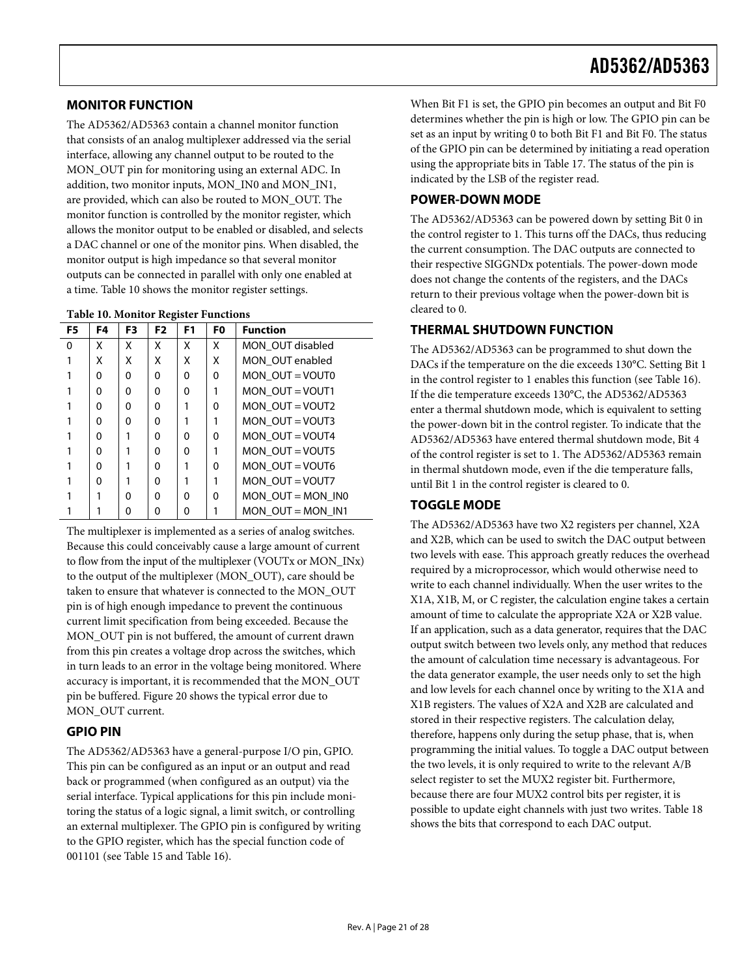#### <span id="page-20-1"></span><span id="page-20-0"></span>**MONITOR FUNCTION**

The AD5362/AD5363 contain a channel monitor function that consists of an analog multiplexer addressed via the serial interface, allowing any channel output to be routed to the MON\_OUT pin for monitoring using an external ADC. In addition, two monitor inputs, MON\_IN0 and MON\_IN1, are provided, which can also be routed to MON\_OUT. The monitor function is controlled by the monitor register, which allows the monitor output to be enabled or disabled, and selects a DAC channel or one of the monitor pins. When disabled, the monitor output is high impedance so that several monitor outputs can be connected in parallel with only one enabled at a time. [Table 10](#page-20-2) shows the monitor register settings.

<span id="page-20-2"></span>

| F5 | F4       | F3       | ັ<br>F <sub>2</sub> | F <sub>1</sub> | F <sub>0</sub> | <b>Function</b>     |
|----|----------|----------|---------------------|----------------|----------------|---------------------|
| 0  | x        | x        | x                   | X              | x              | MON OUT disabled    |
|    | χ        | x        | x                   | X              | Χ              | MON OUT enabled     |
|    | $\Omega$ | $\Omega$ | 0                   | $\Omega$       | 0              | MON OUT = $VOUTO$   |
|    | U        | O        | O                   | $\Omega$       |                | MON OUT = $VOUT1$   |
|    | O        | $\Omega$ | O                   |                | ŋ              | MON OUT = VOUT2     |
|    | U        | O        | O                   |                |                | MON OUT = $VOUT3$   |
|    | U        |          | 0                   | $\Omega$       | 0              | MON OUT = $VOUT4$   |
|    | U        |          | O                   | $\Omega$       |                | MON OUT = $VOUT5$   |
|    | U        |          | O                   |                | ŋ              | MON OUT = $VOUT6$   |
|    | O        |          | O                   |                |                | MON OUT = $VOUT$    |
|    |          | O        | O                   | O              | 0              | MON OUT = MON IN0   |
|    |          | 0        | Ω                   | Ω              |                | MON OUT = MON $IN1$ |

The multiplexer is implemented as a series of analog switches. Because this could conceivably cause a large amount of current to flow from the input of the multiplexer (VOUTx or MON\_INx) to the output of the multiplexer (MON\_OUT), care should be taken to ensure that whatever is connected to the MON\_OUT pin is of high enough impedance to prevent the continuous current limit specification from being exceeded. Because the MON\_OUT pin is not buffered, the amount of current drawn from this pin creates a voltage drop across the switches, which in turn leads to an error in the voltage being monitored. Where accuracy is important, it is recommended that the MON\_OUT pin be buffered. [Figure 20](#page-13-0) shows the typical error due to MON\_OUT current.

#### **GPIO PIN**

The AD5362/AD5363 have a general-purpose I/O pin, GPIO. This pin can be configured as an input or an output and read back or programmed (when configured as an output) via the serial interface. Typical applications for this pin include monitoring the status of a logic signal, a limit switch, or controlling an external multiplexer. The GPIO pin is configured by writing to the GPIO register, which has the special function code of 001101 (see [Table 15](#page-23-1) and [Table 16](#page-23-2)).

When Bit F1 is set, the GPIO pin becomes an output and Bit F0 determines whether the pin is high or low. The GPIO pin can be set as an input by writing 0 to both Bit F1 and Bit F0. The status of the GPIO pin can be determined by initiating a read operation using the appropriate bits in [Table 17](#page-24-0). The status of the pin is indicated by the LSB of the register read.

#### **POWER-DOWN MODE**

The AD5362/AD5363 can be powered down by setting Bit 0 in the control register to 1. This turns off the DACs, thus reducing the current consumption. The DAC outputs are connected to their respective SIGGNDx potentials. The power-down mode does not change the contents of the registers, and the DACs return to their previous voltage when the power-down bit is cleared to 0.

#### **THERMAL SHUTDOWN FUNCTION**

The AD5362/AD5363 can be programmed to shut down the DACs if the temperature on the die exceeds 130°C. Setting Bit 1 in the control register to 1 enables this function (see [Table 16](#page-23-2)). If the die temperature exceeds 130°C, the AD5362/AD5363 enter a thermal shutdown mode, which is equivalent to setting the power-down bit in the control register. To indicate that the AD5362/AD5363 have entered thermal shutdown mode, Bit 4 of the control register is set to 1. The AD5362/AD5363 remain in thermal shutdown mode, even if the die temperature falls, until Bit 1 in the control register is cleared to 0.

#### **TOGGLE MODE**

The AD5362/AD5363 have two X2 registers per channel, X2A and X2B, which can be used to switch the DAC output between two levels with ease. This approach greatly reduces the overhead required by a microprocessor, which would otherwise need to write to each channel individually. When the user writes to the X1A, X1B, M, or C register, the calculation engine takes a certain amount of time to calculate the appropriate X2A or X2B value. If an application, such as a data generator, requires that the DAC output switch between two levels only, any method that reduces the amount of calculation time necessary is advantageous. For the data generator example, the user needs only to set the high and low levels for each channel once by writing to the X1A and X1B registers. The values of X2A and X2B are calculated and stored in their respective registers. The calculation delay, therefore, happens only during the setup phase, that is, when programming the initial values. To toggle a DAC output between the two levels, it is only required to write to the relevant A/B select register to set the MUX2 register bit. Furthermore, because there are four MUX2 control bits per register, it is possible to update eight channels with just two writes. [Table 18](#page-24-1) shows the bits that correspond to each DAC output.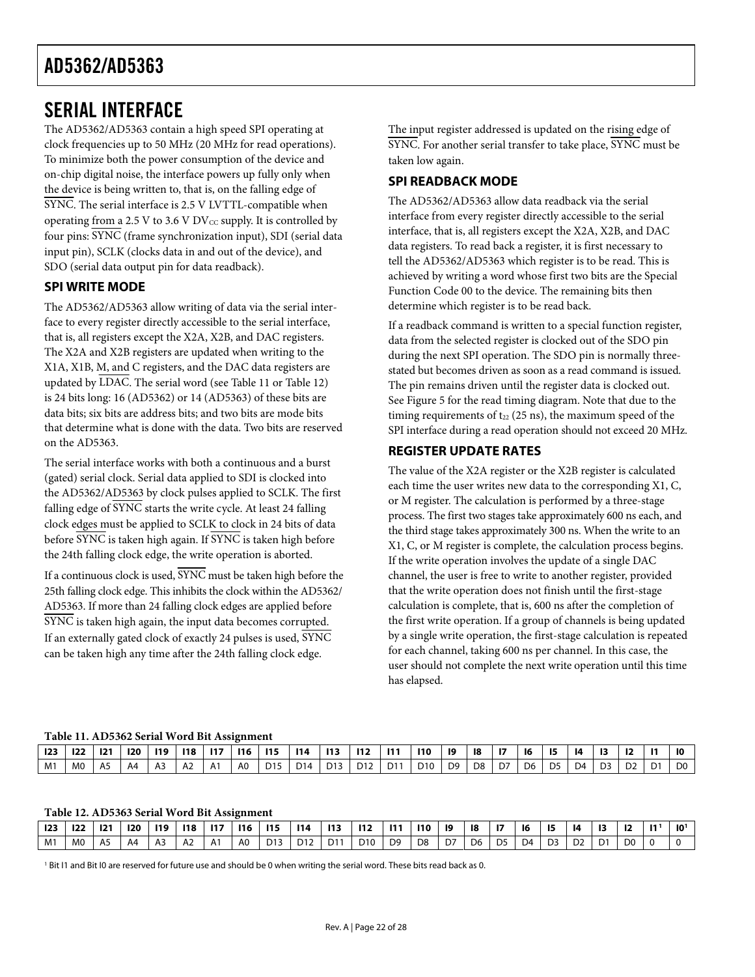## <span id="page-21-1"></span><span id="page-21-0"></span>SERIAL INTERFACE

The AD5362/AD5363 contain a high speed SPI operating at clock frequencies up to 50 MHz (20 MHz for read operations). To minimize both the power consumption of the device and on-chip digital noise, the interface powers up fully only when the device is being written to, that is, on the falling edge of SYNC. The serial interface is 2.5 V LVTTL-compatible when operating from a 2.5 V to 3.6 V  $DV_{CC}$  supply. It is controlled by four pins: SYNC (frame synchronization input), SDI (serial data input pin), SCLK (clocks data in and out of the device), and SDO (serial data output pin for data readback).

### **SPI WRITE MODE**

The AD5362/AD5363 allow writing of data via the serial interface to every register directly accessible to the serial interface, that is, all registers except the X2A, X2B, and DAC registers. The X2A and X2B registers are updated when writing to the X1A, X1B, M, and C registers, and the DAC data registers are updatedby LDAC. The serial word (see Table 11 or Table 12) is 24 bits long: 16 (AD5362) or 14 (AD5363) of these bits are data bits; six bits are address bits; and two bits are mode bits that determine what is done with the data. Two bits are reserved on the AD5363.

<span id="page-21-2"></span>The serial interface works with both a continuous and a burst (gated) serial clock. Serial data applied to SDI is clocked into the AD5362/AD5363 by clock pulses applied to SCLK. The first falling edge of  $\overline{\text{SYNC}}$  starts the write cycle. At least 24 falling clock edges must be applied to SCLK to clock in 24 bits of data before SYNC is taken high again. If SYNC is taken high before the 24th falling clock edge, the write operation is aborted.

If a continuous clock is used, SYNC must be taken high before the 25th falling clock edge. This inhibits the clock within the AD5362/ AD5363. If more than 24 falling clock edges are applied before SYNC is taken high again, the input data becomes corrupted. If an externally gated clock of exactly 24 pulses is used, SYNC can be taken high any time after the 24th falling clock edge.

The input register addressed is updated on the rising edge of SYNC. For another serial transfer to take place, SYNC must be taken low again.

## **SPI READBACK MODE**

The AD5362/AD5363 allow data readback via the serial interface from every register directly accessible to the serial interface, that is, all registers except the X2A, X2B, and DAC data registers. To read back a register, it is first necessary to tell the AD5362/AD5363 which register is to be read. This is achieved by writing a word whose first two bits are the Special Function Code 00 to the device. The remaining bits then determine which register is to be read back.

If a readback command is written to a special function register, data from the selected register is clocked out of the SDO pin during the next SPI operation. The SDO pin is normally threestated but becomes driven as soon as a read command is issued. The pin remains driven until the register data is clocked out. See [Figure 5](#page-8-0) for the read timing diagram. Note that due to the timing requirements of  $t_{22}$  (25 ns), the maximum speed of the SPI interface during a read operation should not exceed 20 MHz.

### **REGISTER UPDATE RATES**

The value of the X2A register or the X2B register is calculated each time the user writes new data to the corresponding X1, C, or M register. The calculation is performed by a three-stage process. The first two stages take approximately 600 ns each, and the third stage takes approximately 300 ns. When the write to an X1, C, or M register is complete, the calculation process begins. If the write operation involves the update of a single DAC channel, the user is free to write to another register, provided that the write operation does not finish until the first-stage calculation is complete, that is, 600 ns after the completion of the first write operation. If a group of channels is being updated by a single write operation, the first-stage calculation is repeated for each channel, taking 600 ns per channel. In this case, the user should not complete the next write operation until this time has elapsed.

#### **Table 11. AD5362 Serial Word Bit Assignment**

<span id="page-21-3"></span>

|     |                |            |                |                | .         |                |     |                 |     |     |                 |     |                 |                   |                 |                 |                |      |     |                 |                |                 |                |
|-----|----------------|------------|----------------|----------------|-----------|----------------|-----|-----------------|-----|-----|-----------------|-----|-----------------|-------------------|-----------------|-----------------|----------------|------|-----|-----------------|----------------|-----------------|----------------|
| 123 | 122            | <b>121</b> | 120            | $\vert$ 119    | $118$ 117 |                | 116 | 115             | 114 | 113 | 112             | 111 | 110             | 19                | 18              | $\overline{17}$ | -16            | - 15 | -14 | $\overline{13}$ | 12             | $\overline{11}$ | -10            |
| M1  | M <sub>0</sub> | A5         | A <sub>4</sub> | A <sub>3</sub> | A2        | A <sub>1</sub> | A0  | D <sub>15</sub> |     |     | D14 D13 D12 D11 |     | D <sub>10</sub> | $\overline{1}$ D9 | $\overline{D8}$ | D7              | D <sub>6</sub> | DS   | D4  | D <sub>3</sub>  | D <sub>2</sub> | D <sub>1</sub>  | D <sub>0</sub> |

<span id="page-21-4"></span>

<span id="page-21-5"></span>

| 123            | 122            | 121            | 120 | 119            | 118            | <b>117</b> | <b>116</b> | 115             | 114             | 113 | <b>112</b>      | 111            | 110            | 19 | -18 | -17            | 16 | 15             | 14             | 13 | 12             | -11 | 10 <sup>1</sup> |
|----------------|----------------|----------------|-----|----------------|----------------|------------|------------|-----------------|-----------------|-----|-----------------|----------------|----------------|----|-----|----------------|----|----------------|----------------|----|----------------|-----|-----------------|
| M <sub>1</sub> | M <sub>0</sub> | A <sub>5</sub> | A4  | A <sub>3</sub> | A <sub>2</sub> | A1         | A0         | D <sub>13</sub> | D <sub>12</sub> | D11 | D <sub>10</sub> | D <sub>9</sub> | D <sub>8</sub> | D7 | D6  | D <sub>5</sub> | D4 | D <sub>3</sub> | D <sub>2</sub> | D1 | D <sub>0</sub> |     |                 |

1 Bit I1 and Bit I0 are reserved for future use and should be 0 when writing the serial word. These bits read back as 0.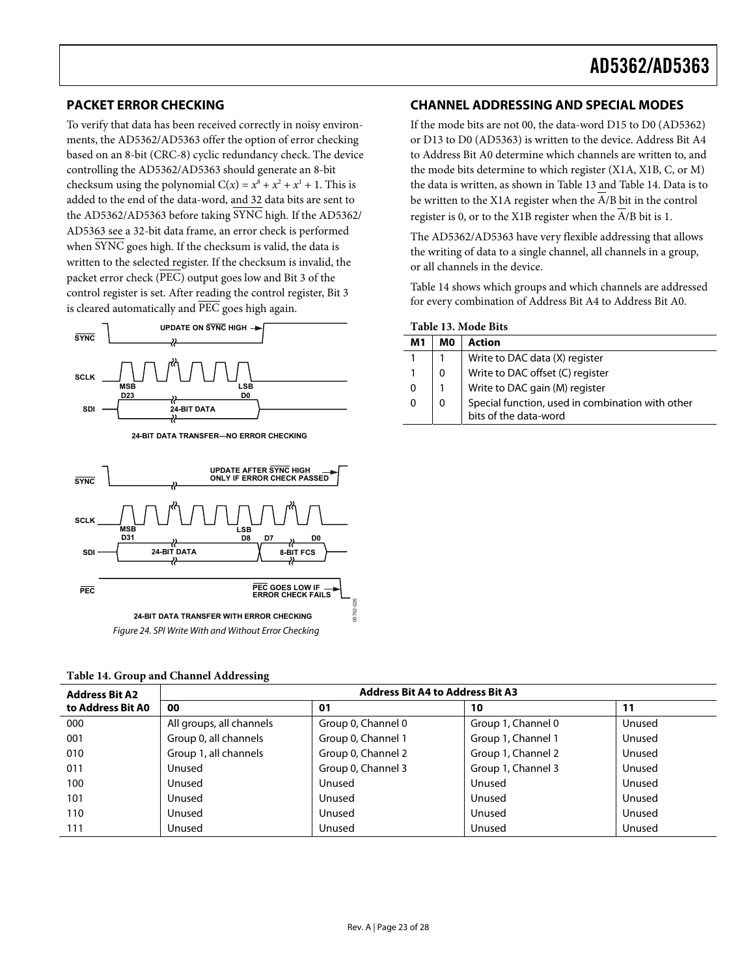### <span id="page-22-0"></span>**PACKET ERROR CHECKING**

To verify that data has been received correctly in noisy environments, the AD5362/AD5363 offer the option of error checking based on an 8-bit (CRC-8) cyclic redundancy check. The device controlling the AD5362/AD5363 should generate an 8-bit checksum using the polynomial  $C(x) = x^8 + x^2 + x^1 + 1$ . This is added to the end of the data-word, and 32 data bits are sent to the AD5362/AD5363 before taking  $\overline{\text{SYNC}}$  high. If the AD5362/ AD5363 see a 32-bit data frame, an error check is performed when  $\overline{\text{SYNC}}$  goes high. If the checksum is valid, the data is written to the selected register. If the checksum is invalid, the packet error check (PEC) output goes low and Bit 3 of the control register is set. After reading the control register, Bit 3 is cleared automatically and PEC goes high again.

<span id="page-22-1"></span>

**24-BIT DATA TRANSFER—NO ERROR CHECKING**



<span id="page-22-2"></span>

|  | Table 14. Group and Channel Addressing |
|--|----------------------------------------|
|--|----------------------------------------|

#### **Address Bit A2 to Address Bit A0 Address Bit A4 to Address Bit A3 00 01 10 11**  000 All groups, all channels (Group 0, Channel 0 Group 1, Channel 0 Unused 001 Group 0, all channels Group 0, Channel 1 Group 1, Channel 1 Unused 010 Group 1, all channels Group 0, Channel 2 Group 1, Channel 2 Unused 011 Unused Group 0, Channel 3 Group 1, Channel 3 Unused 100 Unused Unused Unused Unused 101 Unused Unused Unused Unused 110 Unused Unused Unused Unused 111 Unused Unused Unused Unused

#### **CHANNEL ADDRESSING AND SPECIAL MODES**

If the mode bits are not 00, the data-word D15 to D0 (AD5362) or D13 to D0 (AD5363) is written to the device. Address Bit A4 to Address Bit A0 determine which channels are written to, and the mode bits determine to which register (X1A, X1B, C, or M) the data is written, as shown in [Table 13](#page-22-1) and [Table 14](#page-22-2). Data is to be written to the X1A register when the A/B bit in the control register is 0, or to the X1B register when the  $\overline{A}/B$  bit is 1.

The AD5362/AD5363 have very flexible addressing that allows the writing of data to a single channel, all channels in a group, or all channels in the device.

Table 14 shows which groups and which channels are addressed for every combination of Address Bit A4 to Address Bit A0.

| M1 | MO | <b>Action</b>                                                             |
|----|----|---------------------------------------------------------------------------|
|    |    | Write to DAC data (X) register                                            |
|    |    | Write to DAC offset (C) register                                          |
| 0  |    | Write to DAC gain (M) register                                            |
| 0  |    | Special function, used in combination with other<br>bits of the data-word |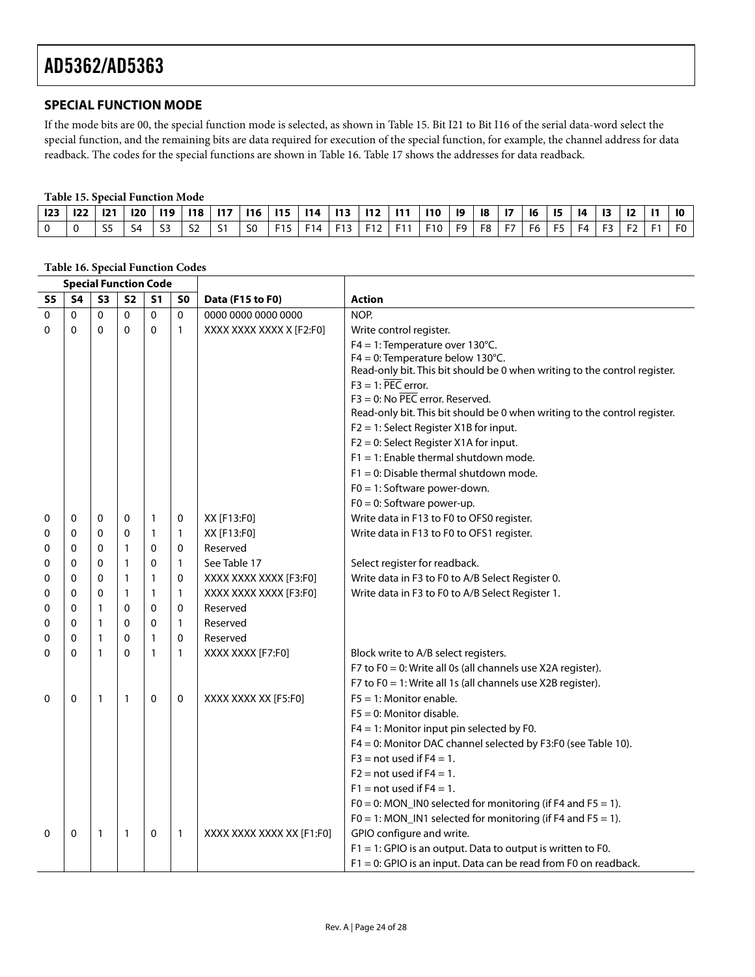### <span id="page-23-0"></span>**SPECIAL FUNCTION MODE**

If the mode bits are 00, the special function mode is selected, as shown in [Table 15](#page-23-1). Bit I21 to Bit I16 of the serial data-word select the special function, and the remaining bits are data required for execution of the special function, for example, the channel address for data readback. The codes for the special functions are shown in [Table 16](#page-23-2). [Table 17](#page-24-0) shows the addresses for data readback.

#### **Table 15. Special Function Mode**

<span id="page-23-1"></span>

|  |  |  |  |  | 12   122   121   120   119   118   117   116   115   114   113   112   111   110   19   18   17   16   15   14 |  |  |  |  |  |  |  |
|--|--|--|--|--|----------------------------------------------------------------------------------------------------------------|--|--|--|--|--|--|--|
|  |  |  |  |  | S4   S3   S2   S1   S0   F15   F14   F13   F12   F11   F10   F9   F8   F7   F6   F5   F4   F3   F2   F1   F0   |  |  |  |  |  |  |  |

<span id="page-23-2"></span>

|              | <b>Special Function Code</b> |                |              |                |                |                           |                                                                           |  |  |  |
|--------------|------------------------------|----------------|--------------|----------------|----------------|---------------------------|---------------------------------------------------------------------------|--|--|--|
| S5           | S <sub>4</sub>               | S <sub>3</sub> | <b>S2</b>    | S <sub>1</sub> | S <sub>0</sub> | Data (F15 to F0)          | <b>Action</b>                                                             |  |  |  |
| 0            | $\Omega$                     | $\mathbf{0}$   | $\mathbf 0$  | $\mathbf{0}$   | $\Omega$       | 0000 0000 0000 0000       | NOP.                                                                      |  |  |  |
| 0            | $\Omega$                     | $\Omega$       | $\mathbf 0$  | $\mathbf{0}$   | 1              | XXXX XXXX XXXX X [F2:F0]  | Write control register.                                                   |  |  |  |
|              |                              |                |              |                |                |                           | F4 = 1: Temperature over 130°C.                                           |  |  |  |
|              |                              |                |              |                |                |                           | $F4 = 0$ : Temperature below 130°C.                                       |  |  |  |
|              |                              |                |              |                |                |                           | Read-only bit. This bit should be 0 when writing to the control register. |  |  |  |
|              |                              |                |              |                |                |                           | $F3 = 1: \overline{PEC}$ error.<br>$F3 = 0$ : No PEC error. Reserved.     |  |  |  |
|              |                              |                |              |                |                |                           | Read-only bit. This bit should be 0 when writing to the control register. |  |  |  |
|              |                              |                |              |                |                |                           | F2 = 1: Select Register X1B for input.                                    |  |  |  |
|              |                              |                |              |                |                |                           | F2 = 0: Select Register X1A for input.                                    |  |  |  |
|              |                              |                |              |                |                |                           | $F1 = 1$ : Enable thermal shutdown mode.                                  |  |  |  |
|              |                              |                |              |                |                |                           | $F1 = 0$ : Disable thermal shutdown mode.                                 |  |  |  |
|              |                              |                |              |                |                |                           | $F0 = 1$ : Software power-down.                                           |  |  |  |
|              |                              |                |              |                |                |                           | $F0 = 0$ : Software power-up.                                             |  |  |  |
| 0            | 0                            | 0              | 0            | $\mathbf{1}$   | 0              | XX [F13:F0]               | Write data in F13 to F0 to OFS0 register.                                 |  |  |  |
| 0            | $\Omega$                     | $\mathbf{0}$   | $\mathbf{0}$ | 1              | $\mathbf{1}$   | XX [F13:F0]               | Write data in F13 to F0 to OFS1 register.                                 |  |  |  |
| 0            | $\Omega$                     | $\mathbf{0}$   | $\mathbf{1}$ | $\Omega$       | 0              | Reserved                  |                                                                           |  |  |  |
| 0            | $\Omega$                     | 0              | $\mathbf{1}$ | $\mathbf{0}$   | $\mathbf{1}$   | See Table 17              | Select register for readback.                                             |  |  |  |
| 0            | $\mathbf{0}$                 | 0              | $\mathbf{1}$ | $\mathbf{1}$   | 0              | XXXX XXXX XXXX [F3:F0]    | Write data in F3 to F0 to A/B Select Register 0.                          |  |  |  |
| 0            | $\Omega$                     | $\mathbf{0}$   | $\mathbf{1}$ | 1              | 1              | XXXX XXXX XXXX [F3:F0]    | Write data in F3 to F0 to A/B Select Register 1.                          |  |  |  |
| 0            | $\mathbf{0}$                 | 1              | $\Omega$     | $\Omega$       | $\Omega$       | Reserved                  |                                                                           |  |  |  |
| 0            | $\Omega$                     | 1              | $\Omega$     | $\Omega$       | $\mathbf{1}$   | Reserved                  |                                                                           |  |  |  |
| 0            | $\mathbf{0}$                 | 1              | $\Omega$     | $\mathbf{1}$   | $\mathbf{0}$   | Reserved                  |                                                                           |  |  |  |
| 0            | $\mathbf{0}$                 | 1              | $\Omega$     | $\mathbf{1}$   | 1              | XXXX XXXX [F7:F0]         | Block write to A/B select registers.                                      |  |  |  |
|              |                              |                |              |                |                |                           | F7 to F0 = 0: Write all 0s (all channels use X2A register).               |  |  |  |
|              |                              |                |              |                |                |                           | F7 to F0 = 1: Write all 1s (all channels use X2B register).               |  |  |  |
| 0            | 0                            | 1              | $\mathbf{1}$ | 0              | 0              | XXXX XXXX XX [F5:F0]      | $F5 = 1$ : Monitor enable.                                                |  |  |  |
|              |                              |                |              |                |                |                           | $F5 = 0$ : Monitor disable.                                               |  |  |  |
|              |                              |                |              |                |                |                           | $F4 = 1$ : Monitor input pin selected by F0.                              |  |  |  |
|              |                              |                |              |                |                |                           | F4 = 0: Monitor DAC channel selected by F3:F0 (see Table 10).             |  |  |  |
|              |                              |                |              |                |                |                           | $F3$ = not used if $F4 = 1$ .                                             |  |  |  |
|              |                              |                |              |                |                |                           | $F2$ = not used if $F4 = 1$ .                                             |  |  |  |
|              |                              |                |              |                |                |                           | $F1$ = not used if $F4 = 1$ .                                             |  |  |  |
|              |                              |                |              |                |                |                           | F0 = 0: MON_IN0 selected for monitoring (if F4 and F5 = 1).               |  |  |  |
|              |                              |                |              |                |                |                           | $FO = 1$ : MON_IN1 selected for monitoring (if F4 and F5 = 1).            |  |  |  |
| $\mathbf{0}$ | $\Omega$                     | $\mathbf{1}$   | 1            | 0              | 1              | XXXX XXXX XXXX XX [F1:F0] | GPIO configure and write.                                                 |  |  |  |
|              |                              |                |              |                |                |                           | $F1 = 1$ : GPIO is an output. Data to output is written to F0.            |  |  |  |
|              |                              |                |              |                |                |                           | F1 = 0: GPIO is an input. Data can be read from F0 on readback.           |  |  |  |

#### **Table 16. Special Function Codes**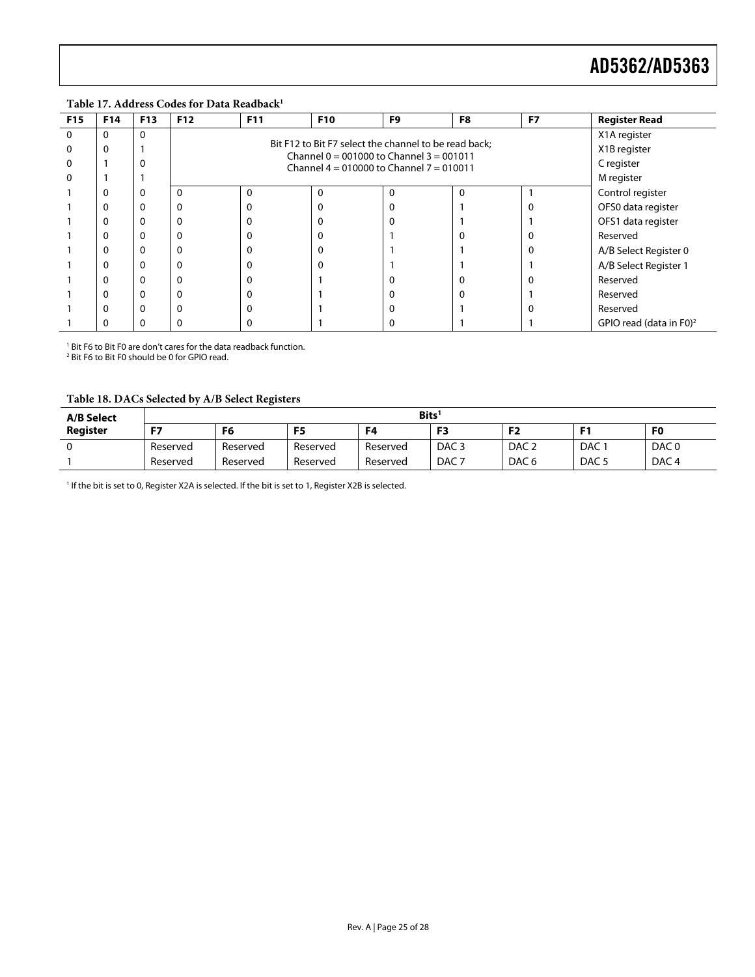<span id="page-24-0"></span>**F15 F14 F13 F12 F11 F10 F9 F8 F7 Register Read**  0 0 0 X1A register 0 0 1 X1B register Bit F12 to Bit F7 select the channel to be read back;  $\begin{array}{|c|c|c|c|}\n\hline\n0 & 0 & 0 \\
\hline\n\end{array}$  C register  $0 \t 1 \t 1$ Channel 0 = 001000 to Channel 3 = 001011 M register 1 0 0 0 0 0 0 0 0 0 0 0 1 Control register 1 0 0 0 0 0 0 0 0 0 0 1 0 0FS0 data register 1 0 0 0 0 0 0 0 0 0 0 1 1 0FS1 data register 1 0 0 0 0 0 1 0 0 Reserved 1 0 0 0 0 0 0 0 1 1 0 A/B Select Register 0 1 0 0 0 0 0 0 0 1 1 1 A/B Select Register 1 1 0 0 0 0 1 0 0 0 Reserved 1 0 0 0 0 1 0 0 1 Reserved 1 | 0 | 0 | 0 | 0 | 1 | 0 | 0 | 1 | 0 | 1 | 0 | Reserved 1 0 0 0 0 1 0 1 1 GPIO read (data in F0[\)](#page-27-13)2

#### **Table 17. Address Codes for Data Readback[1](#page-27-12)**

1 Bit F6 to Bit F0 are don't cares for the data readback function.

2 Bit F6 to Bit F0 should be 0 for GPIO read.

#### **Table 18. DACs Selected by A/B Select Registers**

<span id="page-24-1"></span>

| <b>A/B Select</b> | $\mathsf{Bits}^1$ |          |          |          |                  |                  |                  |                  |  |  |
|-------------------|-------------------|----------|----------|----------|------------------|------------------|------------------|------------------|--|--|
| Register          | п.                | F6       | F5       | F4       | F3               | гη<br>⊤∠         |                  | F <sub>0</sub>   |  |  |
|                   | Reserved          | Reserved | Reserved | Reserved | DAC <sub>3</sub> | DAC <sub>2</sub> | <b>DAC</b>       | DAC <sub>0</sub> |  |  |
|                   | Reserved          | Reserved | Reserved | Reserved | DAC <sub>7</sub> | DAC <sub>6</sub> | DAC <sub>5</sub> | DAC <sub>4</sub> |  |  |

<sup>1</sup> If the bit is set to 0, Register X2A is selected. If the bit is set to 1, Register X2B is selected.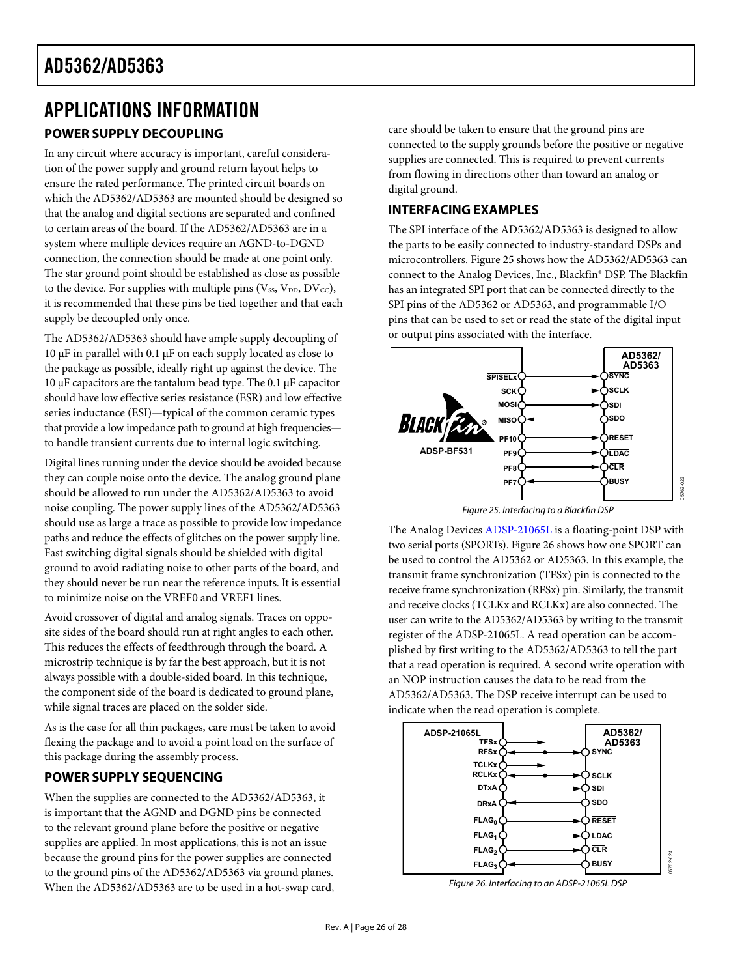## <span id="page-25-1"></span><span id="page-25-0"></span>APPLICATIONS INFORMATION **POWER SUPPLY DECOUPLING**

In any circuit where accuracy is important, careful consideration of the power supply and ground return layout helps to ensure the rated performance. The printed circuit boards on which the AD5362/AD5363 are mounted should be designed so that the analog and digital sections are separated and confined to certain areas of the board. If the AD5362/AD5363 are in a system where multiple devices require an AGND-to-DGND connection, the connection should be made at one point only. The star ground point should be established as close as possible to the device. For supplies with multiple pins ( $V_{SS}$ ,  $V_{DD}$ ,  $DV_{CC}$ ), it is recommended that these pins be tied together and that each supply be decoupled only once.

The AD5362/AD5363 should have ample supply decoupling of 10 μF in parallel with 0.1 μF on each supply located as close to the package as possible, ideally right up against the device. The 10 μF capacitors are the tantalum bead type. The 0.1 μF capacitor should have low effective series resistance (ESR) and low effective series inductance (ESI)—typical of the common ceramic types that provide a low impedance path to ground at high frequencies to handle transient currents due to internal logic switching.

<span id="page-25-2"></span>Digital lines running under the device should be avoided because they can couple noise onto the device. The analog ground plane should be allowed to run under the AD5362/AD5363 to avoid noise coupling. The power supply lines of the AD5362/AD5363 should use as large a trace as possible to provide low impedance paths and reduce the effects of glitches on the power supply line. Fast switching digital signals should be shielded with digital ground to avoid radiating noise to other parts of the board, and they should never be run near the reference inputs. It is essential to minimize noise on the VREF0 and VREF1 lines.

Avoid crossover of digital and analog signals. Traces on opposite sides of the board should run at right angles to each other. This reduces the effects of feedthrough through the board. A microstrip technique is by far the best approach, but it is not always possible with a double-sided board. In this technique, the component side of the board is dedicated to ground plane, while signal traces are placed on the solder side.

As is the case for all thin packages, care must be taken to avoid flexing the package and to avoid a point load on the surface of this package during the assembly process.

## **POWER SUPPLY SEQUENCING**

<span id="page-25-3"></span>When the supplies are connected to the AD5362/AD5363, it is important that the AGND and DGND pins be connected to the relevant ground plane before the positive or negative supplies are applied. In most applications, this is not an issue because the ground pins for the power supplies are connected to the ground pins of the AD5362/AD5363 via ground planes. When the AD5362/AD5363 are to be used in a hot-swap card, care should be taken to ensure that the ground pins are connected to the supply grounds before the positive or negative supplies are connected. This is required to prevent currents from flowing in directions other than toward an analog or digital ground.

## **INTERFACING EXAMPLES**

The SPI interface of the AD5362/AD5363 is designed to allow the parts to be easily connected to industry-standard DSPs and microcontrollers. [Figure 25](#page-25-2) shows how the AD5362/AD5363 can connect to the Analog Devices, Inc., Blackfin® DSP. The Blackfin has an integrated SPI port that can be connected directly to the SPI pins of the AD5362 or AD5363, and programmable I/O pins that can be used to set or read the state of the digital input or output pins associated with the interface.



Figure 25. Interfacing to a Blackfin DSP

The Analog Devices [ADSP-21065L](http://www.analog.com/adsp-21065L) is a floating-point DSP with two serial ports (SPORTs). [Figure 26](#page-25-3) shows how one SPORT can be used to control the AD5362 or AD5363. In this example, the transmit frame synchronization (TFSx) pin is connected to the receive frame synchronization (RFSx) pin. Similarly, the transmit and receive clocks (TCLKx and RCLKx) are also connected. The user can write to the AD5362/AD5363 by writing to the transmit register of the ADSP-21065L. A read operation can be accomplished by first writing to the AD5362/AD5363 to tell the part that a read operation is required. A second write operation with an NOP instruction causes the data to be read from the AD5362/AD5363. The DSP receive interrupt can be used to indicate when the read operation is complete.



Figure 26. Interfacing to an ADSP-21065L DSP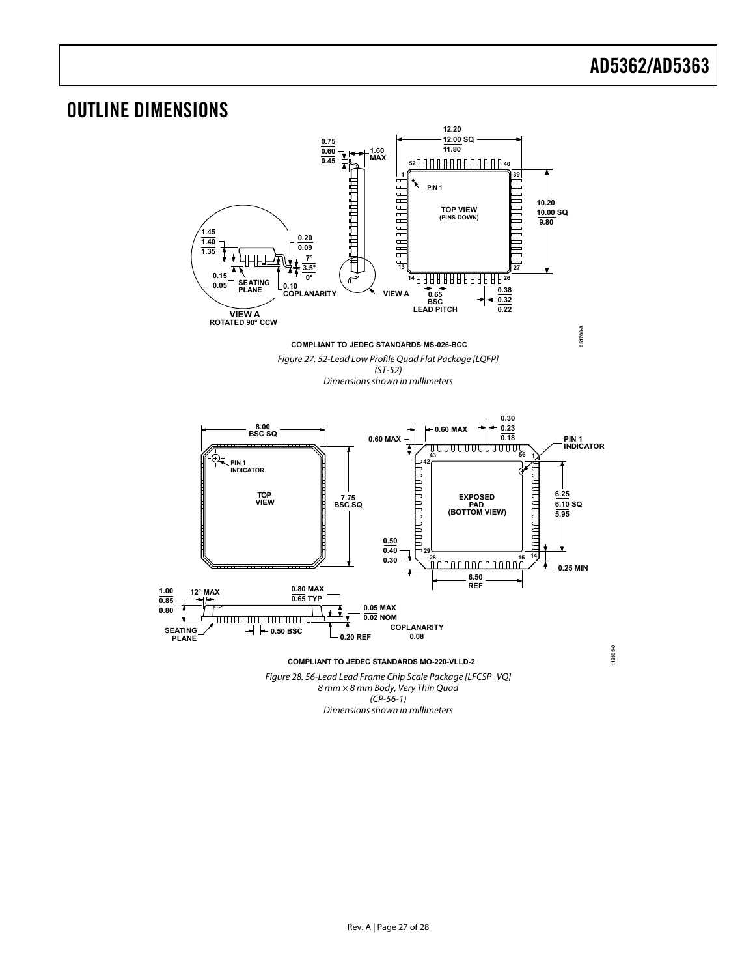<span id="page-26-0"></span>